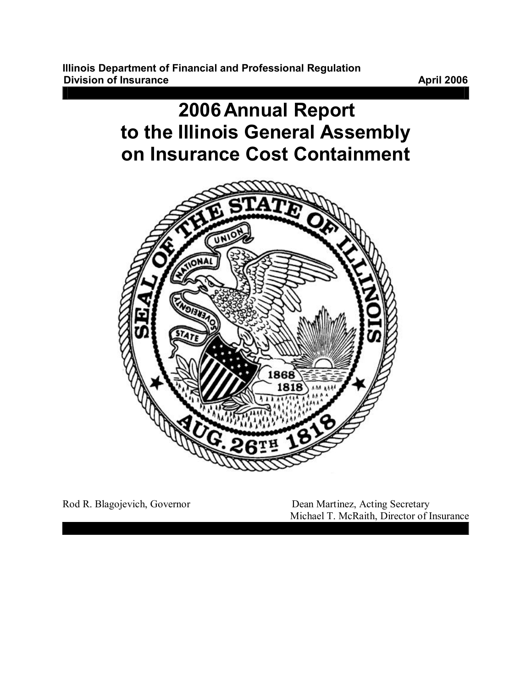**Illinois Department of Financial and Professional Regulation Division of Insurance April 2006** 



Rod R. Blagojevich, Governor Dean Martinez, Acting Secretary Michael T. McRaith, Director of Insurance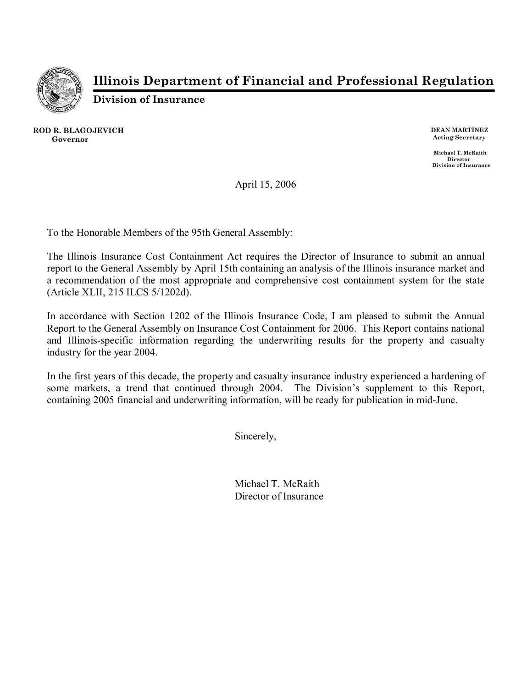

**Illinois Department of Financial and Professional Regulation** 

**Division of Insurance**

**ROD R. BLAGOJEVICH Governor DEAN MARTINEZ**

**Acting Secretary**

**Michael T. McRaith Director Division of Insurance**

April 15, 2006

To the Honorable Members of the 95th General Assembly:

The Illinois Insurance Cost Containment Act requires the Director of Insurance to submit an annual report to the General Assembly by April 15th containing an analysis of the Illinois insurance market and a recommendation of the most appropriate and comprehensive cost containment system for the state (Article XLII, 215 ILCS 5/1202d).

In accordance with Section 1202 of the Illinois Insurance Code, I am pleased to submit the Annual Report to the General Assembly on Insurance Cost Containment for 2006. This Report contains national and Illinois-specific information regarding the underwriting results for the property and casualty industry for the year 2004.

In the first years of this decade, the property and casualty insurance industry experienced a hardening of some markets, a trend that continued through 2004. The Division's supplement to this Report, containing 2005 financial and underwriting information, will be ready for publication in mid-June.

Sincerely,

Michael T. McRaith Director of Insurance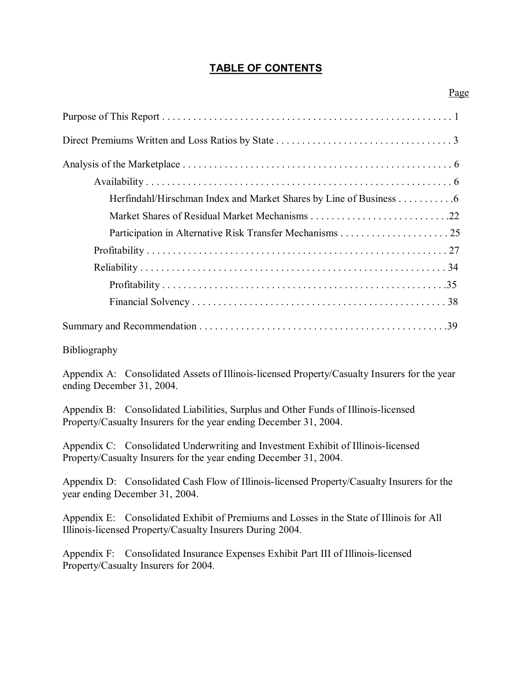# **TABLE OF CONTENTS**

Page

| Herfindahl/Hirschman Index and Market Shares by Line of Business 6 |  |
|--------------------------------------------------------------------|--|
|                                                                    |  |
|                                                                    |  |
|                                                                    |  |
|                                                                    |  |
|                                                                    |  |
|                                                                    |  |
|                                                                    |  |

Bibliography

Appendix A: Consolidated Assets of Illinois-licensed Property/Casualty Insurers for the year ending December 31, 2004.

Appendix B: Consolidated Liabilities, Surplus and Other Funds of Illinois-licensed Property/Casualty Insurers for the year ending December 31, 2004.

Appendix C: Consolidated Underwriting and Investment Exhibit of Illinois-licensed Property/Casualty Insurers for the year ending December 31, 2004.

Appendix D: Consolidated Cash Flow of Illinois-licensed Property/Casualty Insurers for the year ending December 31, 2004.

Appendix E: Consolidated Exhibit of Premiums and Losses in the State of Illinois for All Illinois-licensed Property/Casualty Insurers During 2004.

Appendix F: Consolidated Insurance Expenses Exhibit Part III of Illinois-licensed Property/Casualty Insurers for 2004.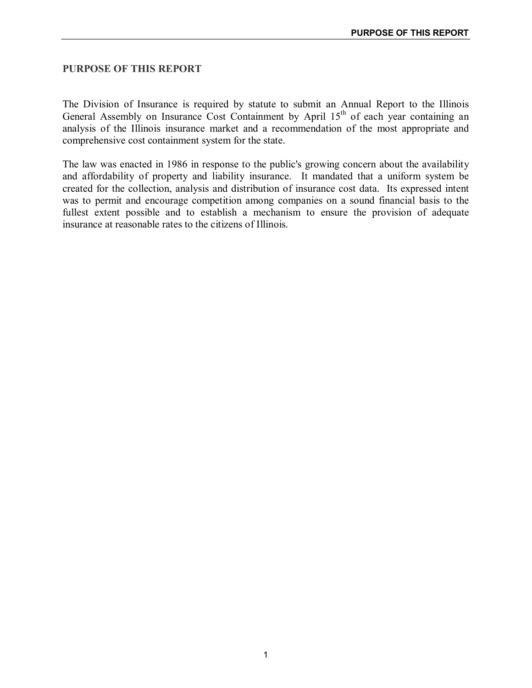#### **PURPOSE OF THIS REPORT**

The Division of Insurance is required by statute to submit an Annual Report to the Illinois General Assembly on Insurance Cost Containment by April  $15<sup>th</sup>$  of each year containing an analysis of the Illinois insurance market and a recommendation of the most appropriate and comprehensive cost containment system for the state.

The law was enacted in 1986 in response to the public's growing concern about the availability and affordability of property and liability insurance. It mandated that a uniform system be created for the collection, analysis and distribution of insurance cost data. Its expressed intent was to permit and encourage competition among companies on a sound financial basis to the fullest extent possible and to establish a mechanism to ensure the provision of adequate insurance at reasonable rates to the citizens of Illinois.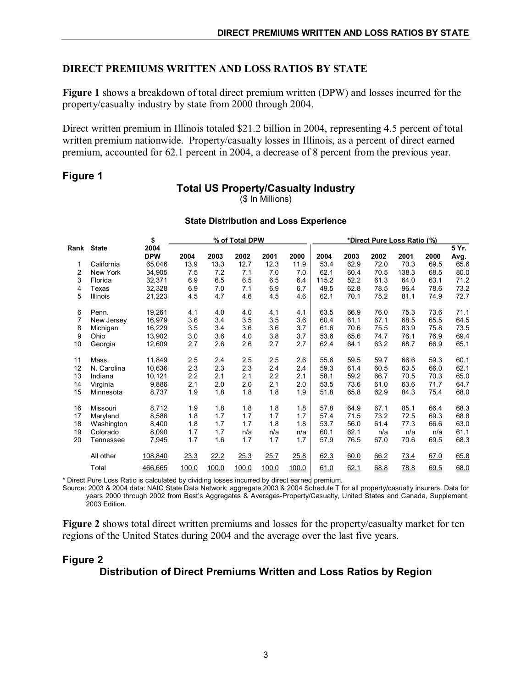## **DIRECT PREMIUMS WRITTEN AND LOSS RATIOS BY STATE**

**Figure 1** shows a breakdown of total direct premium written (DPW) and losses incurred for the property/casualty industry by state from 2000 through 2004.

Direct written premium in Illinois totaled \$21.2 billion in 2004, representing 4.5 percent of total written premium nationwide. Property/casualty losses in Illinois, as a percent of direct earned premium, accounted for 62.1 percent in 2004, a decrease of 8 percent from the previous year.

#### **Figure 1**

#### **Total US Property/Casualty Industry**

(\$ In Millions)

|      |              | \$<br>% of Total DPW |       |       |       |       |       |       | *Direct Pure Loss Ratio (%) |      |       |      |               |
|------|--------------|----------------------|-------|-------|-------|-------|-------|-------|-----------------------------|------|-------|------|---------------|
| Rank | <b>State</b> | 2004<br><b>DPW</b>   | 2004  | 2003  | 2002  | 2001  | 2000  | 2004  | 2003                        | 2002 | 2001  | 2000 | 5 Yr.<br>Avg. |
| 1    | California   | 65,046               | 13.9  | 13.3  | 12.7  | 12.3  | 11.9  | 53.4  | 62.9                        | 72.0 | 70.3  | 69.5 | 65.6          |
|      |              |                      |       | 7.2   |       |       |       | 62.1  | 60.4                        | 70.5 | 138.3 | 68.5 |               |
| 2    | New York     | 34,905               | 7.5   |       | 7.1   | 7.0   | 7.0   |       |                             |      |       |      | 80.0          |
| 3    | Florida      | 32.371               | 6.9   | 6.5   | 6.5   | 6.5   | 6.4   | 115.2 | 52.2                        | 61.3 | 64.0  | 63.1 | 71.2          |
| 4    | Texas        | 32.328               | 6.9   | 7.0   | 7.1   | 6.9   | 6.7   | 49.5  | 62.8                        | 78.5 | 96.4  | 78.6 | 73.2          |
| 5    | Illinois     | 21,223               | 4.5   | 4.7   | 4.6   | 4.5   | 4.6   | 62.1  | 70.1                        | 75.2 | 81.1  | 74.9 | 72.7          |
| 6    | Penn.        | 19,261               | 4.1   | 4.0   | 4.0   | 4.1   | 4.1   | 63.5  | 66.9                        | 76.0 | 75.3  | 73.6 | 71.1          |
| 7    | New Jersey   | 16.979               | 3.6   | 3.4   | 3.5   | 3.5   | 3.6   | 60.4  | 61.1                        | 67.1 | 68.5  | 65.5 | 64.5          |
| 8    | Michigan     | 16,229               | 3.5   | 3.4   | 3.6   | 3.6   | 3.7   | 61.6  | 70.6                        | 75.5 | 83.9  | 75.8 | 73.5          |
| 9    | Ohio         | 13.902               | 3.0   | 3.6   | 4.0   | 3.8   | 3.7   | 53.6  | 65.6                        | 74.7 | 76.1  | 76.9 | 69.4          |
| 10   | Georgia      | 12,609               | 2.7   | 2.6   | 2.6   | 2.7   | 2.7   | 62.4  | 64.1                        | 63.2 | 68.7  | 66.9 | 65.1          |
| 11   | Mass.        | 11.849               | 2.5   | 2.4   | 2.5   | 2.5   | 2.6   | 55.6  | 59.5                        | 59.7 | 66.6  | 59.3 | 60.1          |
| 12   | N. Carolina  | 10.636               | 2.3   | 2.3   | 2.3   | 2.4   | 2.4   | 59.3  | 61.4                        | 60.5 | 63.5  | 66.0 | 62.1          |
| 13   | Indiana      | 10,121               | 2.2   | 2.1   | 2.1   | 2.2   | 2.1   | 58.1  | 59.2                        | 66.7 | 70.5  | 70.3 | 65.0          |
| 14   | Virginia     | 9,886                | 2.1   | 2.0   | 2.0   | 2.1   | 2.0   | 53.5  | 73.6                        | 61.0 | 63.6  | 71.7 | 64.7          |
| 15   | Minnesota    | 8,737                | 1.9   | 1.8   | 1.8   | 1.8   | 1.9   | 51.8  | 65.8                        | 62.9 | 84.3  | 75.4 | 68.0          |
| 16   | Missouri     | 8,712                | 1.9   | 1.8   | 1.8   | 1.8   | 1.8   | 57.8  | 64.9                        | 67.1 | 85.1  | 66.4 | 68.3          |
| 17   | Maryland     | 8,586                | 1.8   | 1.7   | 1.7   | 1.7   | 1.7   | 57.4  | 71.5                        | 73.2 | 72.5  | 69.3 | 68.8          |
| 18   | Washington   | 8,400                | 1.8   | 1.7   | 1.7   | 1.8   | 1.8   | 53.7  | 56.0                        | 61.4 | 77.3  | 66.6 | 63.0          |
| 19   | Colorado     | 8,090                | 1.7   | 1.7   | n/a   | n/a   | n/a   | 60.1  | 62.1                        | n/a  | n/a   | n/a  | 61.1          |
| 20   |              |                      | 1.7   | 1.6   | 1.7   | 1.7   | 1.7   | 57.9  | 76.5                        | 67.0 | 70.6  | 69.5 | 68.3          |
|      | Tennessee    | 7,945                |       |       |       |       |       |       |                             |      |       |      |               |
|      | All other    | 108,840              | 23.3  | 22.2  | 25.3  | 25.7  | 25.8  | 62.3  | 60.0                        | 66.2 | 73.4  | 67.0 | 65.8          |
|      | Total        | 466,665              | 100.0 | 100.0 | 100.0 | 100.0 | 100.0 | 61.0  | 62.1                        | 68.8 | 78.8  | 69.5 | 68.0          |

#### **State Distribution and Loss Experience**

\* Direct Pure Loss Ratio is calculated by dividing losses incurred by direct earned premium.

Source: 2003 & 2004 data: NAIC State Data Network; aggregate 2003 & 2004 Schedule T for all property/casualty insurers. Data for years 2000 through 2002 from Best's Aggregates & Averages-Property/Casualty, United States and Canada, Supplement, 2003 Edition.

**Figure 2** shows total direct written premiums and losses for the property/casualty market for ten regions of the United States during 2004 and the average over the last five years.

# **Figure 2 Distribution of Direct Premiums Written and Loss Ratios by Region**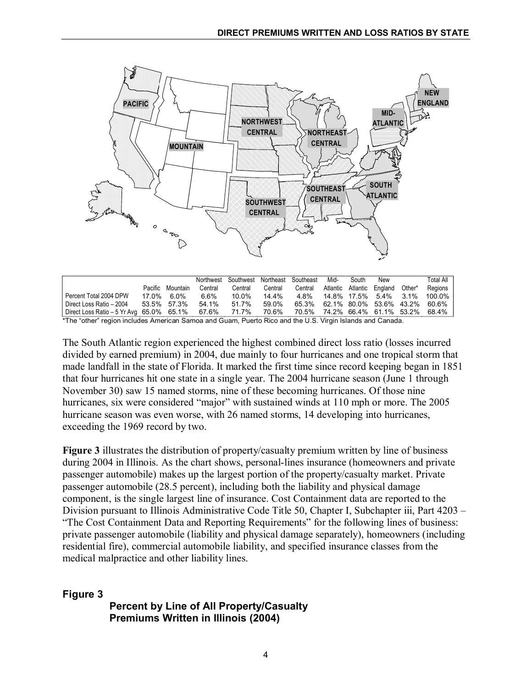

|                                                                                                          |         |             |         | Northwest Southwest Northeast Southeast |         |                                     | Mid- | South | New                       |                               | Total All |
|----------------------------------------------------------------------------------------------------------|---------|-------------|---------|-----------------------------------------|---------|-------------------------------------|------|-------|---------------------------|-------------------------------|-----------|
|                                                                                                          | Pacific | Mountain    | Central | Central                                 | Central | Central                             |      |       | Atlantic Atlantic England | Other*                        | Regions   |
| Percent Total 2004 DPW                                                                                   |         | 17.0% 6.0%  | 6.6%    | 10.0%                                   | 14.4%   | 4.8%                                |      |       | 14.8% 17.5% 5.4%          | $3.1\%$                       | 100.0%    |
| Direct Loss Ratio - 2004                                                                                 |         | 53.5% 57.3% | 54.1%   | 51.7%                                   | 59.0%   | 65.3%                               |      |       |                           | 62.1% 80.0% 53.6% 43.2% 60.6% |           |
| Direct Loss Ratio – 5 Yr Avg 65.0% 65.1% 67.6%                                                           |         |             |         | 71.7%                                   | 70.6%   | 70.5% 74.2% 66.4% 61.1% 53.2% 68.4% |      |       |                           |                               |           |
| *The "other" region includes American Sames and Guam, Duerto Dise and the U.S. Virgin Islands and Canada |         |             |         |                                         |         |                                     |      |       |                           |                               |           |

"other" region includes American Samoa and Guam, Puerto Rico and the U.S. Virgin Islands and

The South Atlantic region experienced the highest combined direct loss ratio (losses incurred divided by earned premium) in 2004, due mainly to four hurricanes and one tropical storm that made landfall in the state of Florida. It marked the first time since record keeping began in 1851 that four hurricanes hit one state in a single year. The 2004 hurricane season (June 1 through November 30) saw 15 named storms, nine of these becoming hurricanes. Of those nine hurricanes, six were considered "major" with sustained winds at 110 mph or more. The 2005 hurricane season was even worse, with 26 named storms, 14 developing into hurricanes, exceeding the 1969 record by two.

**Figure 3** illustrates the distribution of property/casualty premium written by line of business during 2004 in Illinois. As the chart shows, personal-lines insurance (homeowners and private passenger automobile) makes up the largest portion of the property/casualty market. Private passenger automobile (28.5 percent), including both the liability and physical damage component, is the single largest line of insurance. Cost Containment data are reported to the Division pursuant to Illinois Administrative Code Title 50, Chapter I, Subchapter iii, Part 4203 – "The Cost Containment Data and Reporting Requirements" for the following lines of business: private passenger automobile (liability and physical damage separately), homeowners (including residential fire), commercial automobile liability, and specified insurance classes from the medical malpractice and other liability lines.

## **Figure 3**

## **Percent by Line of All Property/Casualty Premiums Written in Illinois (2004)**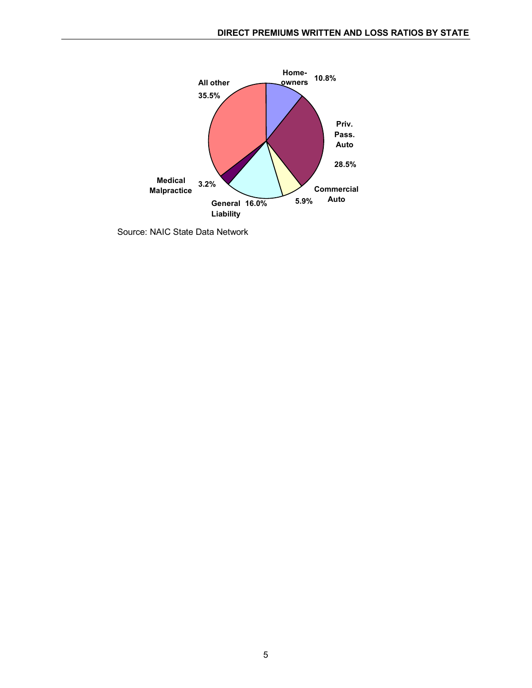

Source: NAIC State Data Network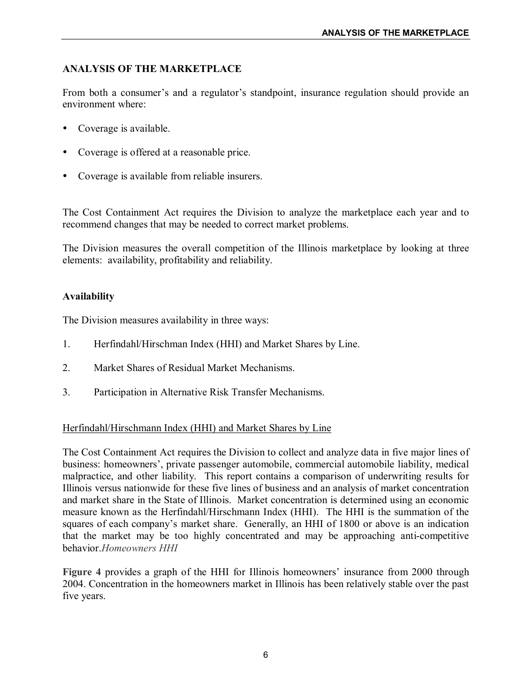## **ANALYSIS OF THE MARKETPLACE**

From both a consumer's and a regulator's standpoint, insurance regulation should provide an environment where:

- Coverage is available.
- ü Coverage is offered at a reasonable price.
- Coverage is available from reliable insurers.

The Cost Containment Act requires the Division to analyze the marketplace each year and to recommend changes that may be needed to correct market problems.

The Division measures the overall competition of the Illinois marketplace by looking at three elements: availability, profitability and reliability.

## **Availability**

The Division measures availability in three ways:

- 1. Herfindahl/Hirschman Index (HHI) and Market Shares by Line.
- 2. Market Shares of Residual Market Mechanisms.
- 3. Participation in Alternative Risk Transfer Mechanisms.

## Herfindahl/Hirschmann Index (HHI) and Market Shares by Line

The Cost Containment Act requires the Division to collect and analyze data in five major lines of business: homeowners', private passenger automobile, commercial automobile liability, medical malpractice, and other liability. This report contains a comparison of underwriting results for Illinois versus nationwide for these five lines of business and an analysis of market concentration and market share in the State of Illinois. Market concentration is determined using an economic measure known as the Herfindahl/Hirschmann Index (HHI). The HHI is the summation of the squares of each company's market share. Generally, an HHI of 1800 or above is an indication that the market may be too highly concentrated and may be approaching anti-competitive behavior.*Homeowners HHI*

Figure 4 provides a graph of the HHI for Illinois homeowners' insurance from 2000 through 2004. Concentration in the homeowners market in Illinois has been relatively stable over the past five years.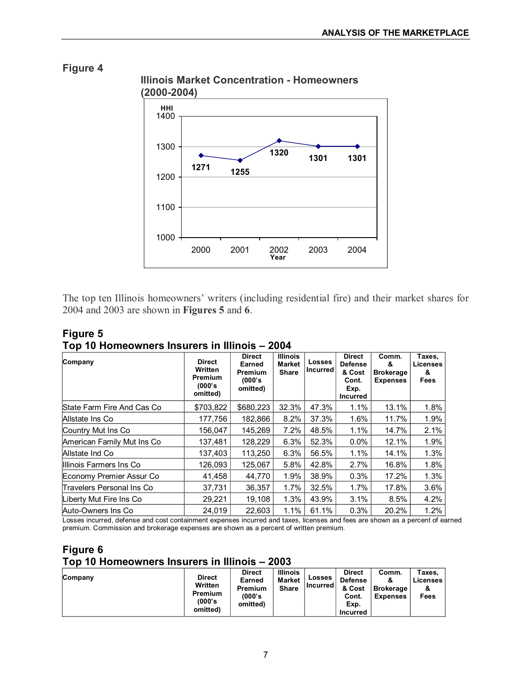

The top ten Illinois homeowners' writers (including residential fire) and their market shares for 2004 and 2003 are shown in **Figures 5** and **6**.

| Company                    | <b>Direct</b><br>Written<br><b>Premium</b><br>(000's<br>omitted) | <b>Direct</b><br>Earned<br>Premium<br>(000's)<br>omitted) | <b>Illinois</b><br><b>Market</b><br><b>Share</b> | <b>Losses</b><br><b>Incurred</b> | <b>Direct</b><br><b>Defense</b><br>& Cost<br>Cont.<br>Exp.<br><b>Incurred</b> | Comm.<br>&<br><b>Brokerage</b><br><b>Expenses</b> | Taxes.<br><b>Licenses</b><br>&<br><b>Fees</b> |
|----------------------------|------------------------------------------------------------------|-----------------------------------------------------------|--------------------------------------------------|----------------------------------|-------------------------------------------------------------------------------|---------------------------------------------------|-----------------------------------------------|
| State Farm Fire And Cas Co | \$703,822                                                        | \$680,223                                                 | 32.3%                                            | 47.3%                            | 1.1%                                                                          | 13.1%                                             | 1.8%                                          |
| Allstate Ins Co            | 177,756                                                          | 182,866                                                   | 8.2%                                             | 37.3%                            | 1.6%                                                                          | 11.7%                                             | 1.9%                                          |
| Country Mut Ins Co         | 156.047                                                          | 145,269                                                   | 7.2%                                             | 48.5%                            | 1.1%                                                                          | 14.7%                                             | 2.1%                                          |
| American Family Mut Ins Co | 137.481                                                          | 128,229                                                   | 6.3%                                             | 52.3%                            | $0.0\%$                                                                       | 12.1%                                             | 1.9%                                          |
| Allstate Ind Co            | 137.403                                                          | 113,250                                                   | 6.3%                                             | 56.5%                            | 1.1%                                                                          | 14.1%                                             | 1.3%                                          |
| Illinois Farmers Ins Co    | 126.093                                                          | 125.067                                                   | 5.8%                                             | 42.8%                            | 2.7%                                                                          | 16.8%                                             | 1.8%                                          |
| Economy Premier Assur Co   | 41,458                                                           | 44,770                                                    | 1.9%                                             | 38.9%                            | 0.3%                                                                          | 17.2%                                             | 1.3%                                          |
| Travelers Personal Ins Co  | 37,731                                                           | 36,357                                                    | 1.7%                                             | 32.5%                            | 1.7%                                                                          | 17.8%                                             | 3.6%                                          |
| Liberty Mut Fire Ins Co    | 29,221                                                           | 19.108                                                    | 1.3%                                             | 43.9%                            | 3.1%                                                                          | 8.5%                                              | 4.2%                                          |
| Auto-Owners Ins Co         | 24,019                                                           | 22.603                                                    | 1.1%                                             | 61.1%                            | 0.3%                                                                          | 20.2%                                             | 1.2%                                          |

**Figure 5 Top 10 Homeowners Insurers in Illinois – 2004**

Losses incurred, defense and cost containment expenses incurred and taxes, licenses and fees are shown as a percent of earned premium. Commission and brokerage expenses are shown as a percent of written premium.

#### **Figure 6 Top 10 Homeowners Insurers in Illinois – 2003**

| Company | <b>Direct</b><br>Written<br><b>Premium</b><br>(000's<br>omitted) | <b>Direct</b><br>Earned<br><b>Premium</b><br>(000's<br>omitted) | <b>Illinois</b><br><b>Market</b><br><b>Share</b> | <b>Losses</b><br>l Incurred l | <b>Direct</b><br><b>Defense</b><br>& Cost<br>Cont.<br>Exp.<br><b>Incurred</b> | Comm.<br>α<br><b>Brokerage</b><br><b>Expenses</b> | тахеs.<br>Licenses<br>&<br>Fees |
|---------|------------------------------------------------------------------|-----------------------------------------------------------------|--------------------------------------------------|-------------------------------|-------------------------------------------------------------------------------|---------------------------------------------------|---------------------------------|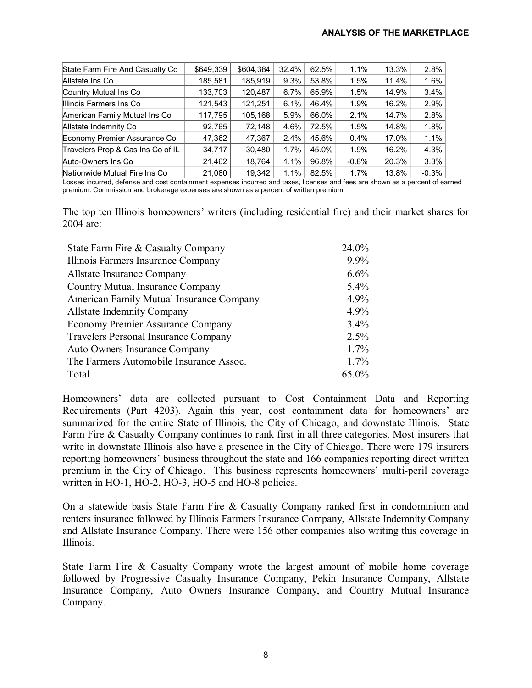| State Farm Fire And Casualty Co   | \$649,339 | \$604.384 | 32.4%   | 62.5% | 1.1%    | 13.3% | 2.8%    |
|-----------------------------------|-----------|-----------|---------|-------|---------|-------|---------|
| Allstate Ins Co                   | 185,581   | 185.919   | 9.3%    | 53.8% | $1.5\%$ | 11.4% | 1.6%    |
| Country Mutual Ins Co             | 133,703   | 120,487   | 6.7%    | 65.9% | 1.5%    | 14.9% | 3.4%    |
| Illinois Farmers Ins Co           | 121,543   | 121,251   | 6.1%    | 46.4% | 1.9%    | 16.2% | 2.9%    |
| American Family Mutual Ins Co     | 117,795   | 105,168   | 5.9%    | 66.0% | 2.1%    | 14.7% | 2.8%    |
| Allstate Indemnity Co             | 92,765    | 72,148    | 4.6%    | 72.5% | 1.5%    | 14.8% | 1.8%    |
| Economy Premier Assurance Co      | 47,362    | 47,367    | 2.4%    | 45.6% | $0.4\%$ | 17.0% | 1.1%    |
| Travelers Prop & Cas Ins Co of IL | 34,717    | 30,480    | $1.7\%$ | 45.0% | 1.9%    | 16.2% | 4.3%    |
| Auto-Owners Ins Co                | 21,462    | 18,764    | 1.1%    | 96.8% | $-0.8%$ | 20.3% | 3.3%    |
| Nationwide Mutual Fire Ins Co     | 21,080    | 19,342    | 1.1%    | 82.5% | 1.7%    | 13.8% | $-0.3%$ |

Losses incurred, defense and cost containment expenses incurred and taxes, licenses and fees are shown as a percent of earned premium. Commission and brokerage expenses are shown as a percent of written premium.

The top ten Illinois homeowners' writers (including residential fire) and their market shares for 2004 are:

| State Farm Fire & Casualty Company          | 24.0%   |
|---------------------------------------------|---------|
| Illinois Farmers Insurance Company          | 9.9%    |
| Allstate Insurance Company                  | 6.6%    |
| <b>Country Mutual Insurance Company</b>     | 5.4%    |
| American Family Mutual Insurance Company    | 4.9%    |
| <b>Allstate Indemnity Company</b>           | 4.9%    |
| <b>Economy Premier Assurance Company</b>    | 3.4%    |
| <b>Travelers Personal Insurance Company</b> | 2.5%    |
| <b>Auto Owners Insurance Company</b>        | 1.7%    |
| The Farmers Automobile Insurance Assoc.     | $1.7\%$ |
| Total                                       | 65.0%   |

Homeowners' data are collected pursuant to Cost Containment Data and Reporting Requirements (Part 4203). Again this year, cost containment data for homeowners' are summarized for the entire State of Illinois, the City of Chicago, and downstate Illinois. State Farm Fire & Casualty Company continues to rank first in all three categories. Most insurers that write in downstate Illinois also have a presence in the City of Chicago. There were 179 insurers reporting homeowners' business throughout the state and 166 companies reporting direct written premium in the City of Chicago. This business represents homeowners' multi-peril coverage written in HO-1, HO-2, HO-3, HO-5 and HO-8 policies.

On a statewide basis State Farm Fire & Casualty Company ranked first in condominium and renters insurance followed by Illinois Farmers Insurance Company, Allstate Indemnity Company and Allstate Insurance Company. There were 156 other companies also writing this coverage in Illinois.

State Farm Fire & Casualty Company wrote the largest amount of mobile home coverage followed by Progressive Casualty Insurance Company, Pekin Insurance Company, Allstate Insurance Company, Auto Owners Insurance Company, and Country Mutual Insurance Company.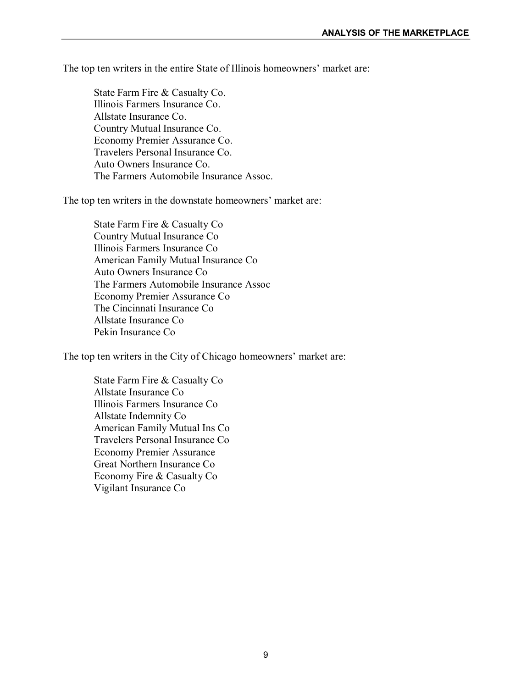The top ten writers in the entire State of Illinois homeowners' market are:

State Farm Fire & Casualty Co. Illinois Farmers Insurance Co. Allstate Insurance Co. Country Mutual Insurance Co. Economy Premier Assurance Co. Travelers Personal Insurance Co. Auto Owners Insurance Co. The Farmers Automobile Insurance Assoc.

The top ten writers in the downstate homeowners' market are:

State Farm Fire & Casualty Co Country Mutual Insurance Co Illinois Farmers Insurance Co American Family Mutual Insurance Co Auto Owners Insurance Co The Farmers Automobile Insurance Assoc Economy Premier Assurance Co The Cincinnati Insurance Co Allstate Insurance Co Pekin Insurance Co

The top ten writers in the City of Chicago homeowners' market are:

State Farm Fire & Casualty Co Allstate Insurance Co Illinois Farmers Insurance Co Allstate Indemnity Co American Family Mutual Ins Co Travelers Personal Insurance Co Economy Premier Assurance Great Northern Insurance Co Economy Fire & Casualty Co Vigilant Insurance Co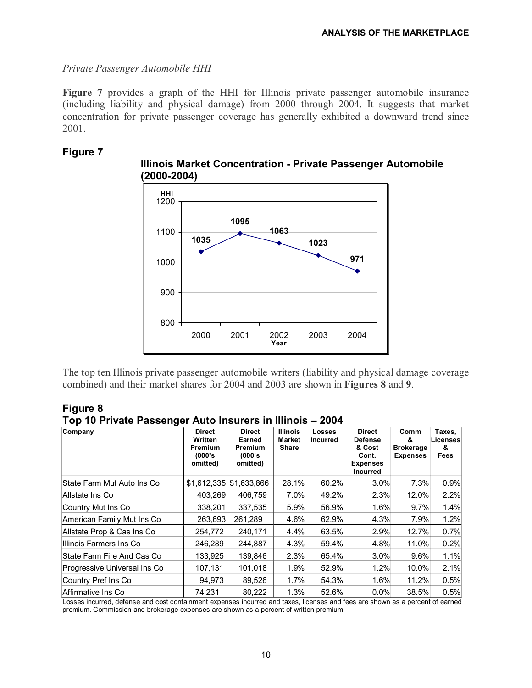*Private Passenger Automobile HHI*

**Figure 7** provides a graph of the HHI for Illinois private passenger automobile insurance (including liability and physical damage) from 2000 through 2004. It suggests that market concentration for private passenger coverage has generally exhibited a downward trend since 2001.

## **Figure 7**



**Illinois Market Concentration Private Passenger Automobile (20002004)**

The top ten Illinois private passenger automobile writers (liability and physical damage coverage combined) and their market shares for 2004 and 2003 are shown in **Figures 8** and **9**.

**Figure 8 Top 10 Private Passenger Auto Insurers in Illinois – 2004**

| Company                            | <b>Direct</b><br><b>Written</b><br>Premium<br>(000's<br>omitted) | <b>Direct</b><br>Earned<br><b>Premium</b><br>(000's)<br>omitted) | <b>Illinois</b><br><b>Market</b><br><b>Share</b> | <b>Losses</b><br>Incurred | <b>Direct</b><br><b>Defense</b><br>& Cost<br>Cont.<br><b>Expenses</b><br><b>Incurred</b> | Comm<br>&<br><b>Brokerage</b><br><b>Expenses</b> | Taxes,<br>Licenses<br>&<br>Fees |
|------------------------------------|------------------------------------------------------------------|------------------------------------------------------------------|--------------------------------------------------|---------------------------|------------------------------------------------------------------------------------------|--------------------------------------------------|---------------------------------|
| State Farm Mut Auto Ins Co         | \$1,612,335                                                      | \$1,633,866                                                      | 28.1%                                            | 60.2%                     | 3.0%                                                                                     | 7.3%                                             | 0.9%                            |
| Allstate Ins Co                    | 403.269                                                          | 406.759                                                          | 7.0%                                             | 49.2%                     | 2.3%                                                                                     | 12.0%                                            | 2.2%                            |
| Country Mut Ins Co                 | 338,201                                                          | 337,535                                                          | 5.9%                                             | 56.9%                     | 1.6%                                                                                     | 9.7%                                             | 1.4%                            |
| American Family Mut Ins Co         | 263,693                                                          | 261,289                                                          | 4.6%                                             | 62.9%                     | 4.3%                                                                                     | 7.9%                                             | 1.2%                            |
| Allstate Prop & Cas Ins Co         | 254,772                                                          | 240,171                                                          | 4.4%                                             | 63.5%                     | 2.9%                                                                                     | 12.7%                                            | 0.7%                            |
| IIIlinois Farmers Ins Co           | 246,289                                                          | 244,887                                                          | 4.3%                                             | 59.4%                     | 4.8%                                                                                     | 11.0%                                            | 0.2%                            |
| <b>IState Farm Fire And Cas Co</b> | 133,925                                                          | 139,846                                                          | 2.3%                                             | 65.4%                     | 3.0%                                                                                     | 9.6%                                             | 1.1%                            |
| Progressive Universal Ins Co       | 107,131                                                          | 101,018                                                          | 1.9%                                             | 52.9%                     | 1.2%                                                                                     | 10.0%                                            | 2.1%                            |
| Country Pref Ins Co                | 94.973                                                           | 89,526                                                           | 1.7%                                             | 54.3%                     | 1.6%                                                                                     | 11.2%                                            | 0.5%                            |
| Affirmative Ins Co                 | 74,231                                                           | 80,222                                                           | 1.3%                                             | 52.6%                     | 0.0%                                                                                     | 38.5%                                            | 0.5%                            |

Losses incurred, defense and cost containment expenses incurred and taxes, licenses and fees are shown as a percent of earned premium. Commission and brokerage expenses are shown as a percent of written premium.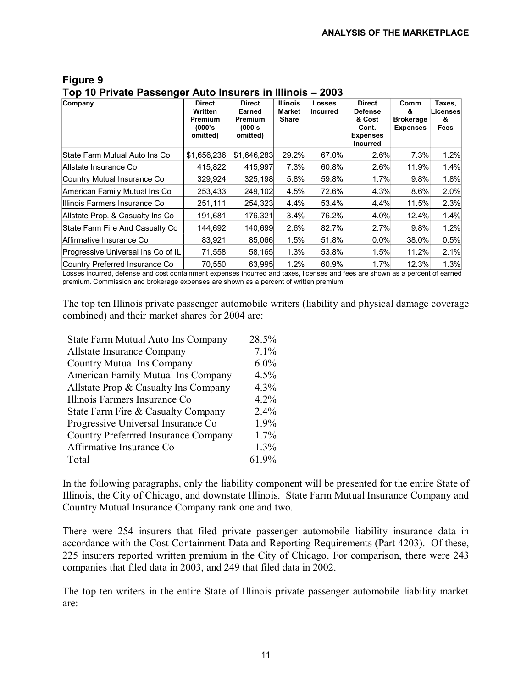| Company                              | <b>Direct</b><br>Written<br>Premium<br>(000's)<br>omitted) | <b>Direct</b><br>Earned<br><b>Premium</b><br>(000's<br>omitted) | <b>Illinois</b><br><b>Market</b><br>Share | <b>Losses</b><br><b>Incurred</b> | <b>Direct</b><br><b>Defense</b><br>& Cost<br>Cont.<br><b>Expenses</b><br><b>Incurred</b> | Comm<br>&<br><b>Brokerage</b><br><b>Expenses</b> | Taxes.<br>Licenses<br>&<br>Fees |
|--------------------------------------|------------------------------------------------------------|-----------------------------------------------------------------|-------------------------------------------|----------------------------------|------------------------------------------------------------------------------------------|--------------------------------------------------|---------------------------------|
| <b>State Farm Mutual Auto Ins Co</b> | \$1,656,236                                                | \$1,646,283                                                     | 29.2%                                     | 67.0%                            | 2.6%                                                                                     | 7.3%                                             | 1.2%                            |
| lAllstate Insurance Co               | 415,822                                                    | 415.997                                                         | 7.3%                                      | 60.8%                            | 2.6%                                                                                     | 11.9%                                            | 1.4%                            |
| Country Mutual Insurance Co          | 329,924                                                    | 325,198                                                         | 5.8%                                      | 59.8%                            | 1.7%                                                                                     | 9.8%                                             | 1.8%                            |
| American Family Mutual Ins Co        | 253,433                                                    | 249,102                                                         | 4.5%                                      | 72.6%                            | 4.3%                                                                                     | 8.6%                                             | 2.0%                            |
| Illlinois Farmers Insurance Co       | 251,111                                                    | 254,323                                                         | 4.4%                                      | 53.4%                            | 4.4%                                                                                     | 11.5%l                                           | 2.3%                            |
| Allstate Prop. & Casualty Ins Co.    | 191,681                                                    | 176,321                                                         | 3.4%                                      | 76.2%                            | 4.0%                                                                                     | 12.4%                                            | 1.4%                            |
| State Farm Fire And Casualty Co      | 144,692                                                    | 140,699                                                         | 2.6%                                      | 82.7%                            | 2.7%                                                                                     | 9.8%                                             | 1.2%                            |
| Affirmative Insurance Co             | 83.921                                                     | 85.066                                                          | 1.5%                                      | 51.8%                            | 0.0%                                                                                     | 38.0%                                            | 0.5%                            |
| Progressive Universal Ins Co of IL   | 71,558                                                     | 58,165                                                          | 1.3%                                      | 53.8%                            | 1.5%                                                                                     | 11.2%                                            | 2.1%                            |
| Country Preferred Insurance Co       | 70,550                                                     | 63,995                                                          | 1.2%                                      | 60.9%                            | 1.7%                                                                                     | 12.3%                                            | 1.3%                            |

**Figure 9 Top 10 Private Passenger Auto Insurers in Illinois – 2003**

Losses incurred, defense and cost containment expenses incurred and taxes, licenses and fees are shown as a percent of earned premium. Commission and brokerage expenses are shown as a percent of written premium.

The top ten Illinois private passenger automobile writers (liability and physical damage coverage combined) and their market shares for 2004 are:

| State Farm Mutual Auto Ins Company          | 28.5%   |
|---------------------------------------------|---------|
| Allstate Insurance Company                  | 7.1%    |
| <b>Country Mutual Ins Company</b>           | $6.0\%$ |
| <b>American Family Mutual Ins Company</b>   | 4.5%    |
| Allstate Prop & Casualty Ins Company        | 4.3%    |
| Illinois Farmers Insurance Co               | 4.2%    |
| State Farm Fire & Casualty Company          | $2.4\%$ |
| Progressive Universal Insurance Co          | 1.9%    |
| <b>Country Preferrred Insurance Company</b> | 1.7%    |
| Affirmative Insurance Co.                   | 1.3%    |
| Total                                       | 61.9%   |

In the following paragraphs, only the liability component will be presented for the entire State of Illinois, the City of Chicago, and downstate Illinois. State Farm Mutual Insurance Company and Country Mutual Insurance Company rank one and two.

There were 254 insurers that filed private passenger automobile liability insurance data in accordance with the Cost Containment Data and Reporting Requirements (Part 4203). Of these, 225 insurers reported written premium in the City of Chicago. For comparison, there were 243 companies that filed data in 2003, and 249 that filed data in 2002.

The top ten writers in the entire State of Illinois private passenger automobile liability market are: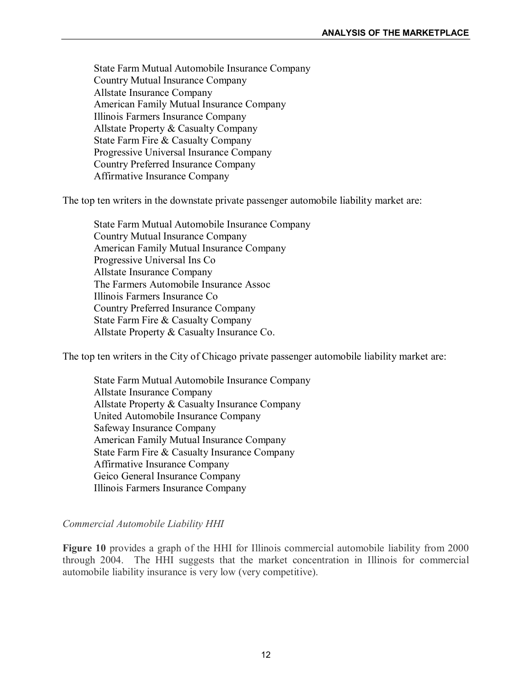State Farm Mutual Automobile Insurance Company Country Mutual Insurance Company Allstate Insurance Company American Family Mutual Insurance Company Illinois Farmers Insurance Company Allstate Property & Casualty Company State Farm Fire & Casualty Company Progressive Universal Insurance Company Country Preferred Insurance Company Affirmative Insurance Company

The top ten writers in the downstate private passenger automobile liability market are:

State Farm Mutual Automobile Insurance Company Country Mutual Insurance Company American Family Mutual Insurance Company Progressive Universal Ins Co Allstate Insurance Company The Farmers Automobile Insurance Assoc Illinois Farmers Insurance Co Country Preferred Insurance Company State Farm Fire & Casualty Company Allstate Property & Casualty Insurance Co.

The top ten writers in the City of Chicago private passenger automobile liability market are:

State Farm Mutual Automobile Insurance Company Allstate Insurance Company Allstate Property & Casualty Insurance Company United Automobile Insurance Company Safeway Insurance Company American Family Mutual Insurance Company State Farm Fire & Casualty Insurance Company Affirmative Insurance Company Geico General Insurance Company Illinois Farmers Insurance Company

#### *Commercial Automobile Liability HHI*

**Figure 10** provides a graph of the HHI for Illinois commercial automobile liability from 2000 through 2004. The HHI suggests that the market concentration in Illinois for commercial automobile liability insurance is very low (very competitive).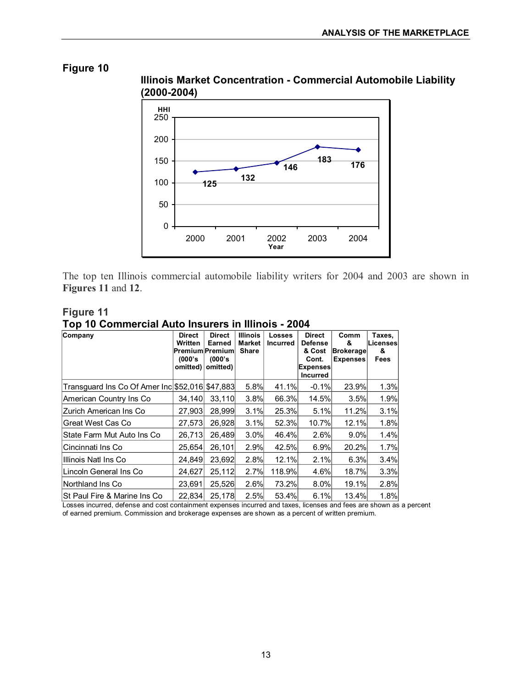



The top ten Illinois commercial automobile liability writers for 2004 and 2003 are shown in **Figures 11** and **12**.

| Figure 11                                          |  |
|----------------------------------------------------|--|
| Top 10 Commercial Auto Insurers in Illinois - 2004 |  |

| Company                                         | <b>Direct</b><br>Written<br>(000's)<br>omitted) | <b>Direct</b><br>Earned<br><b>Premium Premium</b><br>(000's)<br>omitted) | <b>Illinois</b><br>Market<br>Share | <b>Losses</b><br><b>Incurred</b> | <b>Direct</b><br><b>Defense</b><br>& Cost<br>Cont.<br>Expenses<br><b>Incurred</b> | Comm<br>&<br><b>Brokerage</b><br><b>Expenses</b> | Taxes,<br>∟icensesl<br>&<br>Fees |
|-------------------------------------------------|-------------------------------------------------|--------------------------------------------------------------------------|------------------------------------|----------------------------------|-----------------------------------------------------------------------------------|--------------------------------------------------|----------------------------------|
| Transguard Ins Co Of Amer Inc \$52,016 \$47,883 |                                                 |                                                                          | 5.8%                               | 41.1%                            | $-0.1%$                                                                           | 23.9%                                            | 1.3%                             |
| American Country Ins Co                         | 34,140                                          | 33,110                                                                   | 3.8%                               | 66.3%                            | 14.5%                                                                             | 3.5%                                             | 1.9%                             |
| IZurich American Ins Co                         | 27.903                                          | 28,999                                                                   | 3.1%                               | 25.3%                            | 5.1%                                                                              | 11.2%                                            | 3.1%                             |
| lGreat West Cas Co                              | 27,573                                          | 26,928                                                                   | 3.1%                               | 52.3%                            | 10.7%                                                                             | 12.1%                                            | 1.8%                             |
| State Farm Mut Auto Ins Co                      | 26,713                                          | 26,489                                                                   | 3.0%                               | 46.4%                            | 2.6%                                                                              | $9.0\%$                                          | 1.4%                             |
| lCincinnati Ins Co                              | 25,654                                          | 26,101                                                                   | 2.9%                               | 42.5%                            | 6.9%                                                                              | 20.2%                                            | 1.7%                             |
| Illinois Natl Ins Co                            | 24.849                                          | 23.692                                                                   | 2.8%                               | 12.1%                            | 2.1%                                                                              | 6.3%                                             | 3.4%                             |
| Llincoln General Ins Co                         | 24,627                                          | 25,112                                                                   | 2.7%                               | 118.9%                           | 4.6%                                                                              | 18.7%                                            | 3.3%                             |
| Northland Ins Co                                | 23,691                                          | 25,526                                                                   | 2.6%                               | 73.2%                            | 8.0%                                                                              | 19.1%                                            | 2.8%                             |
| St Paul Fire & Marine Ins Co                    | 22,834                                          | 25,178                                                                   | 2.5%                               | 53.4%                            | 6.1%                                                                              | 13.4%                                            | 1.8%                             |

Losses incurred, defense and cost containment expenses incurred and taxes, licenses and fees are shown as a percent of earned premium. Commission and brokerage expenses are shown as a percent of written premium.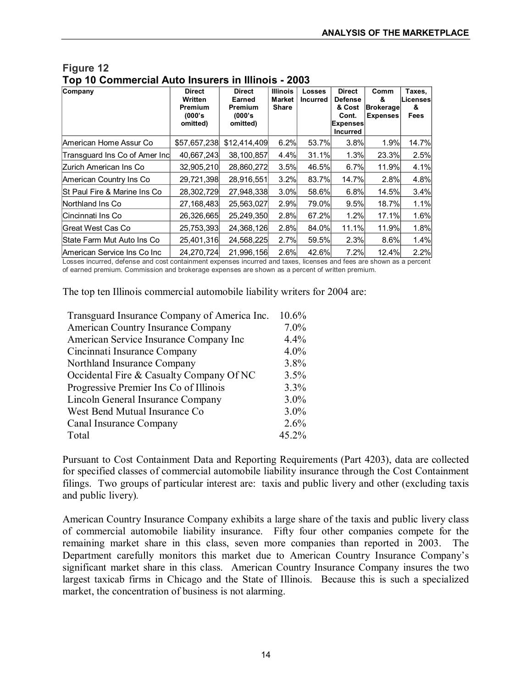| Company                                 | <b>Direct</b><br>Written<br>Premium<br>(000's<br>omitted) | <b>Direct</b><br>Earned<br>Premium<br>(000's<br>omitted) | <b>Illinois</b><br><b>Market</b><br>Share | Losses<br><b>Incurred</b> | <b>Direct</b><br>Defense<br>& Cost<br>Cont.<br><b>Expenses</b><br>Incurred | Comm<br>&<br><b>Brokerage</b><br><b>Expenses</b> | Taxes.<br><b>Licenses</b><br>&<br>Fees |
|-----------------------------------------|-----------------------------------------------------------|----------------------------------------------------------|-------------------------------------------|---------------------------|----------------------------------------------------------------------------|--------------------------------------------------|----------------------------------------|
| <b>American Home Assur Co</b>           | \$57,657,238                                              | \$12,414,409                                             | 6.2%                                      | 53.7%                     | 3.8%                                                                       | 1.9%                                             | 14.7%                                  |
| Transguard Ins Co of Amer Inc           | 40,667,243                                                | 38,100,857                                               | 4.4%                                      | 31.1%                     | 1.3%                                                                       | 23.3%                                            | 2.5%                                   |
| IZurich American Ins Co                 | 32,905,210                                                | 28,860,272                                               | 3.5%                                      | 46.5%                     | 6.7%                                                                       | 11.9%                                            | 4.1%                                   |
| American Country Ins Co                 | 29,721,398                                                | 28,916,551                                               | 3.2%                                      | 83.7%                     | 14.7%                                                                      | 2.8%                                             | 4.8%                                   |
| <b>St Paul Fire &amp; Marine Ins Co</b> | 28,302,729                                                | 27.948.338                                               | 3.0%                                      | 58.6%                     | 6.8%                                                                       | 14.5%                                            | 3.4%                                   |
| Northland Ins Co.                       | 27,168,483                                                | 25,563,027                                               | 2.9%                                      | 79.0%                     | 9.5%                                                                       | 18.7%                                            | 1.1%                                   |
| Cincinnati Ins Co                       | 26,326,665                                                | 25,249,350                                               | 2.8%                                      | 67.2%                     | 1.2%                                                                       | 17.1%                                            | 1.6%                                   |
| <b>IGreat West Cas Co</b>               | 25,753,393                                                | 24,368,126                                               | 2.8%                                      | 84.0%                     | 11.1%                                                                      | 11.9%                                            | 1.8%                                   |
| State Farm Mut Auto Ins Co              | 25,401,316                                                | 24,568,225                                               | 2.7%                                      | 59.5%                     | 2.3%                                                                       | 8.6%                                             | 1.4%                                   |
| American Service Ins Co Inc             | 24,270,724                                                | 21,996,156                                               | 2.6%                                      | 42.6%                     | 7.2%                                                                       | 12.4%                                            | 2.2%                                   |

## **Figure 12 Top 10 Commercial Auto Insurers in Illinois 2003**

Losses incurred, defense and cost containment expenses incurred and taxes, licenses and fees are shown as a percent of earned premium. Commission and brokerage expenses are shown as a percent of written premium.

The top ten Illinois commercial automobile liability writers for 2004 are:

| Transguard Insurance Company of America Inc. | 10.6%   |
|----------------------------------------------|---------|
| American Country Insurance Company           | $7.0\%$ |
| American Service Insurance Company Inc       | 4.4%    |
| Cincinnati Insurance Company                 | 4.0%    |
| Northland Insurance Company                  | 3.8%    |
| Occidental Fire & Casualty Company Of NC     | 3.5%    |
| Progressive Premier Ins Co of Illinois       | 3.3%    |
| Lincoln General Insurance Company            | 3.0%    |
| West Bend Mutual Insurance Co                | $3.0\%$ |
| Canal Insurance Company                      | 2.6%    |
| Total                                        | 45.2%   |

Pursuant to Cost Containment Data and Reporting Requirements (Part 4203), data are collected for specified classes of commercial automobile liability insurance through the Cost Containment filings. Two groups of particular interest are: taxis and public livery and other (excluding taxis and public livery)*.*

American Country Insurance Company exhibits a large share of the taxis and public livery class of commercial automobile liability insurance. Fifty four other companies compete for the remaining market share in this class, seven more companies than reported in 2003. The Department carefully monitors this market due to American Country Insurance Company's significant market share in this class. American Country Insurance Company insures the two largest taxicab firms in Chicago and the State of Illinois. Because this is such a specialized market, the concentration of business is not alarming.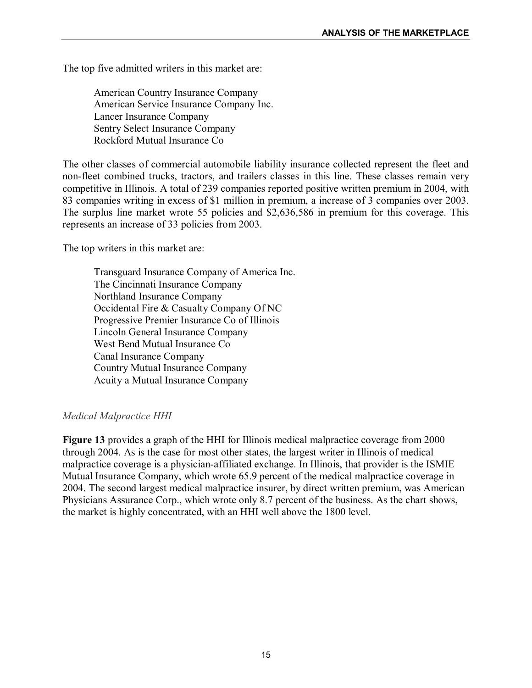The top five admitted writers in this market are:

American Country Insurance Company American Service Insurance Company Inc. Lancer Insurance Company Sentry Select Insurance Company Rockford Mutual Insurance Co

The other classes of commercial automobile liability insurance collected represent the fleet and non-fleet combined trucks, tractors, and trailers classes in this line. These classes remain very competitive in Illinois. A total of 239 companies reported positive written premium in 2004, with 83 companies writing in excess of \$1 million in premium, a increase of 3 companies over 2003. The surplus line market wrote 55 policies and \$2,636,586 in premium for this coverage. This represents an increase of 33 policies from 2003.

The top writers in this market are:

Transguard Insurance Company of America Inc. The Cincinnati Insurance Company Northland Insurance Company Occidental Fire & Casualty Company Of NC Progressive Premier Insurance Co of Illinois Lincoln General Insurance Company West Bend Mutual Insurance Co Canal Insurance Company Country Mutual Insurance Company Acuity a Mutual Insurance Company

#### *Medical Malpractice HHI*

**Figure 13** provides a graph of the HHI for Illinois medical malpractice coverage from 2000 through 2004. As is the case for most other states, the largest writer in Illinois of medical malpractice coverage is a physician-affiliated exchange. In Illinois, that provider is the ISMIE Mutual Insurance Company, which wrote 65.9 percent of the medical malpractice coverage in 2004. The second largest medical malpractice insurer, by direct written premium, was American Physicians Assurance Corp., which wrote only 8.7 percent of the business. As the chart shows, the market is highly concentrated, with an HHI well above the 1800 level.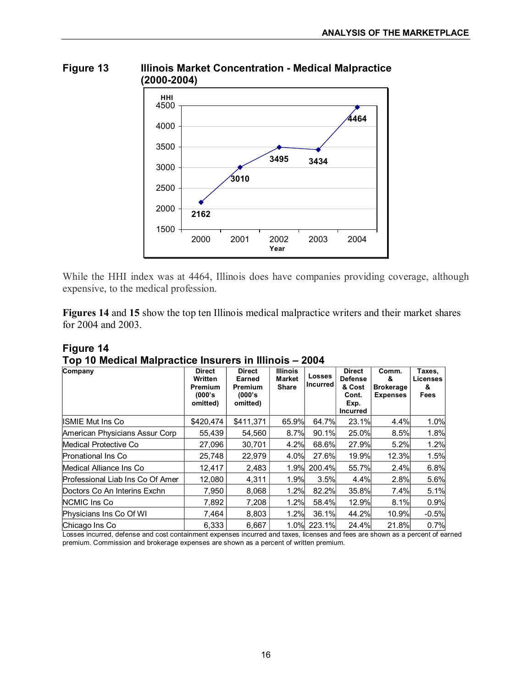

**Figure 13 Illinois Market Concentration Medical Malpractice** 

While the HHI index was at 4464, Illinois does have companies providing coverage, although expensive, to the medical profession.

**Figures 14** and **15** show the top ten Illinois medical malpractice writers and their market shares for 2004 and 2003.

| Figure 14                                              |  |  |
|--------------------------------------------------------|--|--|
| Top 10 Medical Malpractice Insurers in Illinois - 2004 |  |  |
|                                                        |  |  |

| Company                          | <b>Direct</b><br>Written<br><b>Premium</b><br>(000's<br>omitted) | <b>Direct</b><br>Earned<br>Premium<br>(000's)<br>omitted) | <b>Illinois</b><br>Market<br><b>Share</b> | Losses<br><b>Incurred</b> | <b>Direct</b><br><b>Defense</b><br>& Cost<br>Cont.<br>Exp.<br>Incurred | Comm.<br>&<br><b>Brokerage</b><br><b>Expenses</b> | Taxes,<br>Licenses<br>&<br>Fees |
|----------------------------------|------------------------------------------------------------------|-----------------------------------------------------------|-------------------------------------------|---------------------------|------------------------------------------------------------------------|---------------------------------------------------|---------------------------------|
| IISMIE Mut Ins Co                | \$420.474                                                        | \$411,371                                                 | 65.9%                                     | 64.7%                     | 23.1%                                                                  | 4.4%                                              | 1.0%                            |
| American Physicians Assur Corp   | 55,439                                                           | 54,560                                                    | 8.7%                                      | 90.1%                     | 25.0%                                                                  | 8.5%                                              | 1.8%                            |
| Medical Protective Co            | 27,096                                                           | 30,701                                                    | 4.2%                                      | 68.6%                     | 27.9%                                                                  | 5.2%                                              | 1.2%                            |
| <b>Pronational Ins Co</b>        | 25,748                                                           | 22.979                                                    | 4.0%                                      | 27.6%                     | 19.9%                                                                  | 12.3%                                             | 1.5%                            |
| Medical Alliance Ins Co          | 12.417                                                           | 2,483                                                     | 1.9%                                      | 200.4%                    | 55.7%                                                                  | 2.4%                                              | 6.8%                            |
| Professional Liab Ins Co Of Amer | 12,080                                                           | 4,311                                                     | 1.9%                                      | 3.5%                      | 4.4%                                                                   | 2.8%                                              | 5.6%                            |
| Doctors Co An Interins Exchn     | 7.950                                                            | 8.068                                                     | 1.2%                                      | 82.2%                     | 35.8%                                                                  | 7.4%                                              | 5.1%                            |
| NCMIC Ins Co.                    | 7,892                                                            | 7,208                                                     | 1.2%                                      | 58.4%                     | 12.9%                                                                  | 8.1%                                              | 0.9%                            |
| Physicians Ins Co Of WI          | 7,464                                                            | 8,803                                                     | 1.2%                                      | 36.1%                     | 44.2%                                                                  | 10.9%                                             | $-0.5%$                         |
| Chicago Ins Co                   | 6,333                                                            | 6,667                                                     |                                           | 1.0% 223.1%               | 24.4%                                                                  | 21.8%                                             | 0.7%                            |

Losses incurred, defense and cost containment expenses incurred and taxes, licenses and fees are shown as a percent of earned premium. Commission and brokerage expenses are shown as a percent of written premium.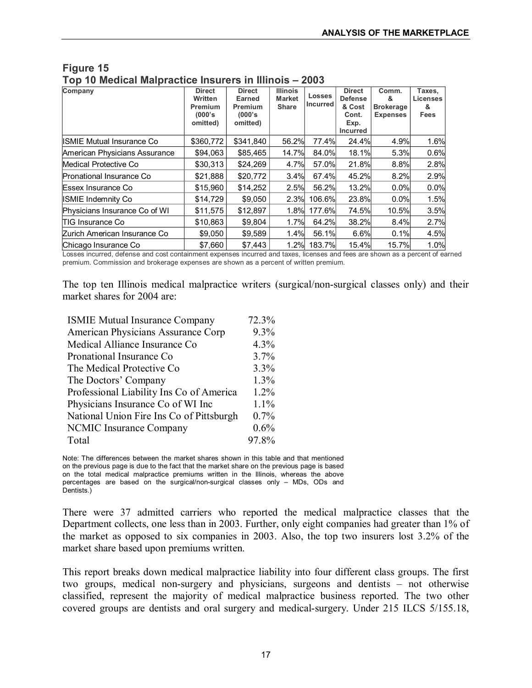| Company                          | <b>Direct</b> | <b>Direct</b> | <b>Illinois</b> | <b>Losses</b>   | <b>Direct</b>   | Comm.            | Taxes.   |
|----------------------------------|---------------|---------------|-----------------|-----------------|-----------------|------------------|----------|
|                                  | Written       | <b>Earned</b> | <b>Market</b>   | <b>Incurred</b> | <b>Defense</b>  | &                | Licenses |
|                                  | Premium       | Premium       | <b>Share</b>    |                 | & Cost          | <b>Brokerage</b> | &        |
|                                  | (000's        | (000's)       |                 |                 | Cont.           | <b>Expenses</b>  | Fees     |
|                                  | omitted)      | omitted)      |                 |                 | Exp.            |                  |          |
|                                  |               |               |                 |                 | <b>Incurred</b> |                  |          |
| <b>ISMIE Mutual Insurance Co</b> | \$360,772     | \$341,840     | 56.2%           | 77.4%           | 24.4%           | 4.9%             | 1.6%     |
| American Physicians Assurance    | \$94,063      | \$85,465      | 14.7%           | 84.0%           | 18.1%           | 5.3%             | 0.6%     |
| Medical Protective Co            | \$30,313      | \$24,269      | 4.7%            | 57.0%           | 21.8%           | 8.8%             | 2.8%     |
| Pronational Insurance Co         | \$21,888      | \$20,772      | 3.4%            | 67.4%           | 45.2%           | 8.2%             | 2.9%     |
| Essex Insurance Co               | \$15,960      | \$14,252      | 2.5%            | 56.2%           | 13.2%           | 0.0%             | 0.0%     |
| <b>ISMIE Indemnity Co</b>        | \$14,729      | \$9.050       | 2.3%            | 106.6%          | 23.8%           | 0.0%             | 1.5%     |
| Physicians Insurance Co of WI    | \$11,575      | \$12,897      | 1.8%            | 177.6%          | 74.5%           | 10.5%            | 3.5%     |
| <b>TIG Insurance Co</b>          | \$10,863      | \$9,804       | 1.7%            | 64.2%           | 38.2%           | 8.4%             | 2.7%     |
| Zurich American Insurance Co     | \$9,050       | \$9,589       | 1.4%            | 56.1%           | 6.6%            | 0.1%             | 4.5%     |
| Chicago Insurance Co             | \$7,660       | \$7,443       | 1.2%            | 183.7%          | 15.4%           | 15.7%            | 1.0%     |

#### **Figure 15 Top 10 Medical Malpractice Insurers in Illinois – 2003**

Losses incurred, defense and cost containment expenses incurred and taxes, licenses and fees are shown as a percent of earned premium. Commission and brokerage expenses are shown as a percent of written premium.

The top ten Illinois medical malpractice writers (surgical/non-surgical classes only) and their market shares for 2004 are:

| <b>ISMIE Mutual Insurance Company</b>    | 72.3%   |
|------------------------------------------|---------|
| American Physicians Assurance Corp       | 9.3%    |
| Medical Alliance Insurance Co            | 4.3%    |
| Pronational Insurance Co                 | 3.7%    |
| The Medical Protective Co.               | 3.3%    |
| The Doctors' Company                     | 1.3%    |
| Professional Liability Ins Co of America | $1.2\%$ |
| Physicians Insurance Co of WI Inc        | $1.1\%$ |
| National Union Fire Ins Co of Pittsburgh | 0.7%    |
| NCMIC Insurance Company                  | 0.6%    |
| Total                                    | 97.8%   |

Note: The differences between the market shares shown in this table and that mentioned on the previous page is due to the fact that the market share on the previous page is based on the total medical malpractice premiums written in the Illinois, whereas the above percentages are based on the surgical/non-surgical classes only - MDs, ODs and Dentists.)

There were 37 admitted carriers who reported the medical malpractice classes that the Department collects, one less than in 2003. Further, only eight companies had greater than 1% of the market as opposed to six companies in 2003. Also, the top two insurers lost 3.2% of the market share based upon premiums written.

This report breaks down medical malpractice liability into four different class groups. The first two groups, medical non-surgery and physicians, surgeons and dentists – not otherwise classified, represent the majority of medical malpractice business reported. The two other covered groups are dentists and oral surgery and medical-surgery. Under 215 ILCS 5/155.18,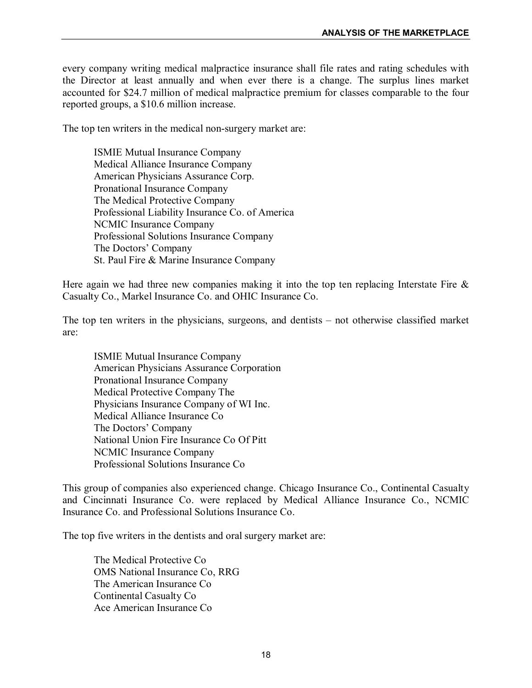every company writing medical malpractice insurance shall file rates and rating schedules with the Director at least annually and when ever there is a change. The surplus lines market accounted for \$24.7 million of medical malpractice premium for classes comparable to the four reported groups, a \$10.6 million increase.

The top ten writers in the medical non-surgery market are:

ISMIE Mutual Insurance Company Medical Alliance Insurance Company American Physicians Assurance Corp. Pronational Insurance Company The Medical Protective Company Professional Liability Insurance Co. of America NCMIC Insurance Company Professional Solutions Insurance Company The Doctors' Company St. Paul Fire & Marine Insurance Company

Here again we had three new companies making it into the top ten replacing Interstate Fire  $\&$ Casualty Co., Markel Insurance Co. and OHIC Insurance Co.

The top ten writers in the physicians, surgeons, and dentists – not otherwise classified market are:

ISMIE Mutual Insurance Company American Physicians Assurance Corporation Pronational Insurance Company Medical Protective Company The Physicians Insurance Company of WI Inc. Medical Alliance Insurance Co The Doctors' Company National Union Fire Insurance Co Of Pitt NCMIC Insurance Company Professional Solutions Insurance Co

This group of companies also experienced change. Chicago Insurance Co., Continental Casualty and Cincinnati Insurance Co. were replaced by Medical Alliance Insurance Co., NCMIC Insurance Co. and Professional Solutions Insurance Co.

The top five writers in the dentists and oral surgery market are:

The Medical Protective Co OMS National Insurance Co, RRG The American Insurance Co Continental Casualty Co Ace American Insurance Co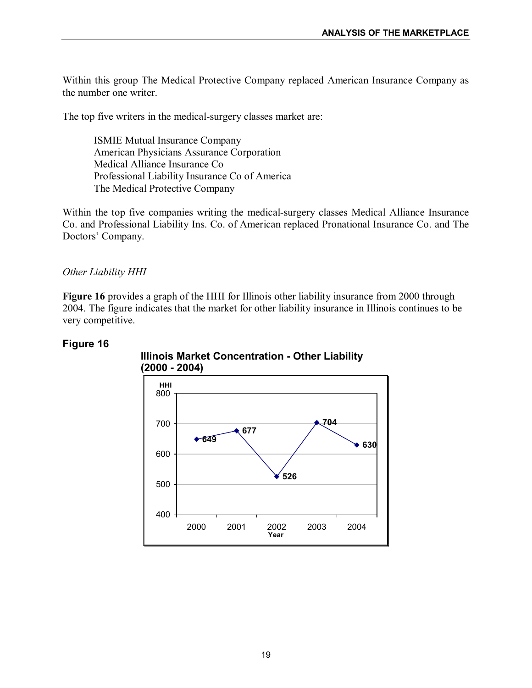Within this group The Medical Protective Company replaced American Insurance Company as the number one writer.

The top five writers in the medical-surgery classes market are:

ISMIE Mutual Insurance Company American Physicians Assurance Corporation Medical Alliance Insurance Co Professional Liability Insurance Co of America The Medical Protective Company

Within the top five companies writing the medical-surgery classes Medical Alliance Insurance Co. and Professional Liability Ins. Co. of American replaced Pronational Insurance Co. and The Doctors' Company.

#### *Other Liability HHI*

**Figure 16** provides a graph of the HHI for Illinois other liability insurance from 2000 through 2004. The figure indicates that the market for other liability insurance in Illinois continues to be very competitive.

#### **Figure 16**



**Illinois Market Concentration Other Liability (2000 2004)**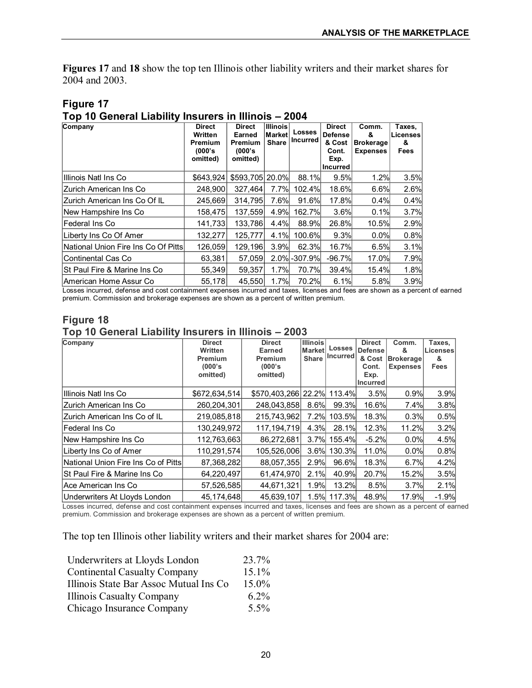**Figures 17** and **18** show the top ten Illinois other liability writers and their market shares for 2004 and 2003.

| Top 10 General Liability Insurers in Illinois - 2004 |                                                            |                                                           |                                            |                           |                                                                               |                                                   |                                        |  |
|------------------------------------------------------|------------------------------------------------------------|-----------------------------------------------------------|--------------------------------------------|---------------------------|-------------------------------------------------------------------------------|---------------------------------------------------|----------------------------------------|--|
| Company                                              | <b>Direct</b><br>Written<br>Premium<br>(000's)<br>omitted) | <b>Direct</b><br>Earned<br>Premium<br>(000's)<br>omitted) | <b>Illinois</b><br>Marketl<br><b>Share</b> | <b>Losses</b><br>Incurred | <b>Direct</b><br><b>Defense</b><br>& Cost<br>Cont.<br>Exp.<br><b>Incurred</b> | Comm.<br>&<br><b>Brokerage</b><br><b>Expenses</b> | Taxes.<br>Licenses<br>&<br><b>Fees</b> |  |
| Illlinois Natl Ins Co                                | \$643,924                                                  | \$593,705 20.0%                                           |                                            | 88.1%                     | 9.5%                                                                          | 1.2%                                              | 3.5%                                   |  |
| IZurich American Ins Co                              | 248,900                                                    | 327.464                                                   | 7.7%                                       | 102.4%                    | 18.6%                                                                         | 6.6%                                              | 2.6%                                   |  |
| IZurich American Ins Co Of IL                        | 245,669                                                    | 314.795                                                   | 7.6%                                       | 91.6%                     | 17.8%                                                                         | 0.4%                                              | 0.4%                                   |  |
| New Hampshire Ins Co                                 | 158.475                                                    | 137,559                                                   | 4.9%                                       | 162.7%                    | 3.6%                                                                          | 0.1%                                              | 3.7%                                   |  |
| <b>IFederal Ins Co</b>                               | 141,733                                                    | 133,786                                                   | 4.4%                                       | 88.9%                     | 26.8%                                                                         | 10.5%                                             | 2.9%                                   |  |
| Liberty Ins Co Of Amer                               | 132.277                                                    | 125.777                                                   | 4.1%                                       | 100.6%                    | 9.3%                                                                          | 0.0%                                              | 0.8%                                   |  |
| National Union Fire Ins Co Of Pitts                  | 126,059                                                    | 129,196                                                   | 3.9%                                       | 62.3%                     | 16.7%                                                                         | 6.5%                                              | 3.1%                                   |  |
| Continental Cas Co                                   | 63,381                                                     | 57,059                                                    |                                            | 2.0% - 307.9%             | $-96.7%$                                                                      | 17.0%                                             | 7.9%                                   |  |
| ISt Paul Fire & Marine Ins Co                        | 55,349                                                     | 59,357                                                    | 1.7%                                       | 70.7%                     | 39.4%                                                                         | 15.4%                                             | 1.8%                                   |  |
| <b>IAmerican Home Assur Co</b>                       | 55,178                                                     | 45,550                                                    | 1.7%                                       | 70.2%                     | 6.1%                                                                          | 5.8%                                              | 3.9%                                   |  |

# **Figure 17**

Losses incurred, defense and cost containment expenses incurred and taxes, licenses and fees are shown as a percent of earned premium. Commission and brokerage expenses are shown as a percent of written premium.

#### **Figure 18 Top 10 General Liability Insurers in Illinois – 2003**

| Company                             | <b>Direct</b><br><b>Written</b><br>Premium<br>(000's)<br>omitted) | <b>Direct</b><br><b>Earned</b><br>Premium<br>(000's)<br>omitted) | <b>Illinois</b><br><b>Market</b><br><b>Share</b> | <b>Losses</b><br><b>Incurred</b> | <b>Direct</b><br><b>Defense</b><br>& Cost<br>Cont.<br>Exp.<br><b>Incurred</b> | Comm.<br>&<br><b>Brokerage</b><br><b>Expenses</b> | Taxes,<br>Licenses<br>&<br>Fees |
|-------------------------------------|-------------------------------------------------------------------|------------------------------------------------------------------|--------------------------------------------------|----------------------------------|-------------------------------------------------------------------------------|---------------------------------------------------|---------------------------------|
| Illinois Natl Ins Co                | \$672,634,514                                                     | \$570,403,266 22.2% 113.4%                                       |                                                  |                                  | 3.5%                                                                          | 0.9%                                              | 3.9%                            |
| Zurich American Ins Co              | 260.204.301                                                       | 248.043.858                                                      | 8.6%                                             | 99.3%                            | 16.6%                                                                         | 7.4%                                              | 3.8%                            |
| Zurich American Ins Co of IL        | 219,085,818                                                       | 215,743,962                                                      | 7.2%                                             | 103.5%                           | 18.3%                                                                         | 0.3%                                              | 0.5%                            |
| Federal Ins Co                      | 130,249,972                                                       | 117,194,719                                                      | 4.3%                                             | <b>28.1%</b>                     | 12.3%                                                                         | 11.2%                                             | 3.2%                            |
| New Hampshire Ins Co.               | 112,763,663                                                       | 86,272,681                                                       | $3.7\%$                                          | 155.4%                           | $-5.2%$                                                                       | 0.0%                                              | 4.5%                            |
| Liberty Ins Co of Amer              | 110,291,574                                                       | 105,526,006                                                      | 3.6%                                             | 130.3%                           | 11.0%                                                                         | $0.0\%$                                           | 0.8%                            |
| National Union Fire Ins Co of Pitts | 87,368,282                                                        | 88,057,355                                                       | 2.9%                                             | 96.6%                            | 18.3%                                                                         | 6.7%                                              | 4.2%                            |
| ISt Paul Fire & Marine Ins Co       | 64,220,497                                                        | 61,474,970                                                       | 2.1%                                             | 40.9%                            | 20.7%                                                                         | 15.2%                                             | 3.5%                            |
| Ace American Ins Co                 | 57,526,585                                                        | 44,671,321                                                       | 1.9%                                             | 13.2%                            | 8.5%                                                                          | 3.7%                                              | 2.1%                            |
| Underwriters At Lloyds London       | 45.174.648                                                        | 45,639,107                                                       |                                                  | 1.5% 117.3%                      | 48.9%                                                                         | 17.9%                                             | $-1.9%$                         |

Losses incurred, defense and cost containment expenses incurred and taxes, licenses and fees are shown as a percent of earned premium. Commission and brokerage expenses are shown as a percent of written premium.

The top ten Illinois other liability writers and their market shares for 2004 are:

| Underwriters at Lloyds London          | 23.7%    |  |
|----------------------------------------|----------|--|
| <b>Continental Casualty Company</b>    | 15.1%    |  |
| Illinois State Bar Assoc Mutual Ins Co | $15.0\%$ |  |
| <b>Illinois Casualty Company</b>       | $6.2\%$  |  |
| Chicago Insurance Company              | $5.5\%$  |  |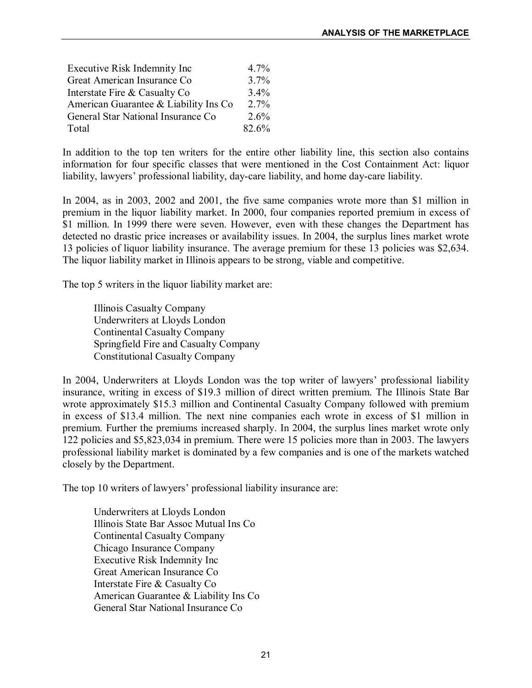| Executive Risk Indemnity Inc          | 4.7%    |  |
|---------------------------------------|---------|--|
| Great American Insurance Co           | 3.7%    |  |
| Interstate Fire & Casualty Co         | $3.4\%$ |  |
| American Guarantee & Liability Ins Co | $2.7\%$ |  |
| General Star National Insurance Co    | $2.6\%$ |  |
| Total                                 | 82.6%   |  |

In addition to the top ten writers for the entire other liability line, this section also contains information for four specific classes that were mentioned in the Cost Containment Act: liquor liability, lawyers' professional liability, day-care liability, and home day-care liability.

In 2004, as in 2003, 2002 and 2001, the five same companies wrote more than \$1 million in premium in the liquor liability market. In 2000, four companies reported premium in excess of \$1 million. In 1999 there were seven. However, even with these changes the Department has detected no drastic price increases or availability issues. In 2004, the surplus lines market wrote 13 policies of liquor liability insurance. The average premium forthese 13 policies was \$2,634. The liquor liability market in Illinois appears to be strong, viable and competitive.

The top 5 writers in the liquor liability market are:

Illinois Casualty Company Underwriters at Lloyds London Continental Casualty Company Springfield Fire and Casualty Company Constitutional Casualty Company

In 2004, Underwriters at Lloyds London was the top writer of lawyers' professional liability insurance, writing in excess of \$19.3 million of direct written premium. The Illinois State Bar wrote approximately \$15.3 million and Continental Casualty Company followed with premium in excess of \$13.4 million. The next nine companies each wrote in excess of \$1 million in premium. Further the premiums increased sharply. In 2004, the surplus lines market wrote only 122 policies and \$5,823,034 in premium. There were 15 policies more than in 2003. The lawyers professional liability market is dominated by a few companies and is one of the markets watched closely by the Department.

The top 10 writers of lawyers' professional liability insurance are:

Underwriters at Lloyds London Illinois State Bar Assoc Mutual Ins Co Continental Casualty Company Chicago Insurance Company Executive Risk Indemnity Inc Great American Insurance Co Interstate Fire & Casualty Co American Guarantee & Liability Ins Co General Star National Insurance Co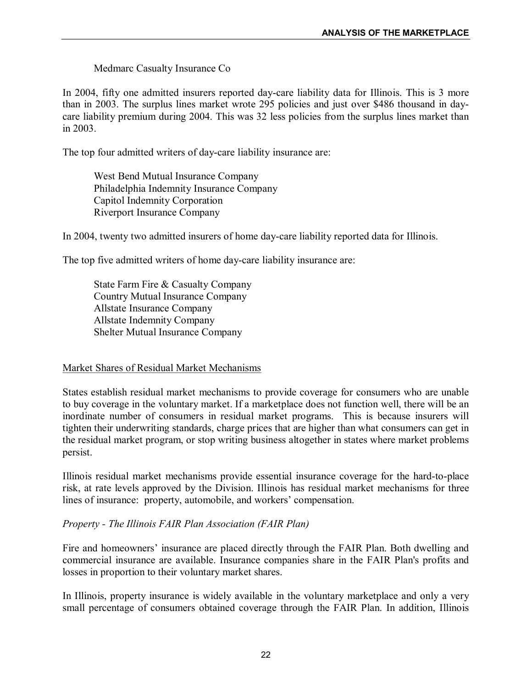Medmarc Casualty Insurance Co

In 2004, fifty one admitted insurers reported day-care liability data for Illinois. This is 3 more than in 2003. The surplus lines market wrote 295 policies and just over \$486 thousand in day care liability premium during 2004. This was 32 less policies from the surplus lines market than in 2003.

The top four admitted writers of day-care liability insurance are:

West Bend Mutual Insurance Company Philadelphia Indemnity Insurance Company Capitol Indemnity Corporation Riverport Insurance Company

In 2004, twenty two admitted insurers of home day-care liability reported data for Illinois.

The top five admitted writers of home day-care liability insurance are:

State Farm Fire & Casualty Company Country Mutual Insurance Company Allstate Insurance Company Allstate Indemnity Company Shelter Mutual Insurance Company

#### Market Shares of Residual Market Mechanisms

States establish residual market mechanisms to provide coverage for consumers who are unable to buy coverage in the voluntary market. If a marketplace does not function well, there will be an inordinate number of consumers in residual market programs. This is because insurers will tighten their underwriting standards, charge prices that are higher than what consumers can get in the residual market program, or stop writing business altogether in states where market problems persist.

Illinois residual market mechanisms provide essential insurance coverage for the hard-to-place risk, at rate levels approved by the Division. Illinois has residual market mechanisms for three lines of insurance: property, automobile, and workers' compensation.

#### *Property The Illinois FAIR Plan Association (FAIR Plan)*

Fire and homeowners' insurance are placed directly through the FAIR Plan. Both dwelling and commercial insurance are available. Insurance companies share in the FAIR Plan's profits and losses in proportion to their voluntary market shares.

In Illinois, property insurance is widely available in the voluntary marketplace and only a very small percentage of consumers obtained coverage through the FAIR Plan. In addition, Illinois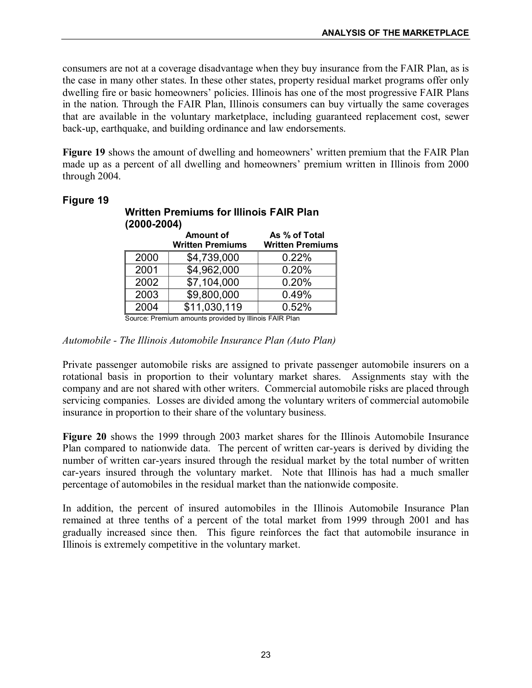consumers are not at a coverage disadvantage when they buy insurance from the FAIR Plan, as is the case in many other states. In these other states, property residual market programs offer only dwelling fire or basic homeowners' policies. Illinois has one of the most progressive FAIR Plans in the nation. Through the FAIR Plan, Illinois consumers can buy virtually the same coverages that are available in the voluntary marketplace, including guaranteed replacement cost, sewer back-up, earthquake, and building ordinance and law endorsements.

**Figure 19** shows the amount of dwelling and homeowners' written premium that the FAIR Plan made up as a percent of all dwelling and homeowners' premium written in Illinois from 2000 through 2004.

| 12000-2004) |                         |                         |  |  |  |  |
|-------------|-------------------------|-------------------------|--|--|--|--|
|             | <b>Amount of</b>        | As % of Total           |  |  |  |  |
|             | <b>Written Premiums</b> | <b>Written Premiums</b> |  |  |  |  |
| 2000        | \$4,739,000             | 0.22%                   |  |  |  |  |
| 2001        | \$4,962,000             | 0.20%                   |  |  |  |  |
| 2002        | \$7,104,000             | 0.20%                   |  |  |  |  |
| 2003        | \$9,800,000             | 0.49%                   |  |  |  |  |
| 2004        | \$11,030,119            | 0.52%                   |  |  |  |  |

**Written Premiums for Illinois FAIR Plan**

**(20002004)**

## **Figure 19**

Source: Premium amounts provided by Illinois FAIR Plan

#### *Automobile The Illinois Automobile Insurance Plan (Auto Plan)*

Private passenger automobile risks are assigned to private passenger automobile insurers on a rotational basis in proportion to their voluntary market shares. Assignments stay with the company and are not shared with other writers. Commercial automobile risks are placed through servicing companies. Losses are divided among the voluntary writers of commercial automobile insurance in proportion to their share of the voluntary business.

Figure 20 shows the 1999 through 2003 market shares for the Illinois Automobile Insurance Plan compared to nationwide data. The percent of written car-years is derived by dividing the number of written car-years insured through the residual market by the total number of written car-years insured through the voluntary market. Note that Illinois has had a much smaller percentage of automobiles in the residual market than the nationwide composite.

In addition, the percent of insured automobiles in the Illinois Automobile Insurance Plan remained at three tenths of a percent of the total market from 1999 through 2001 and has gradually increased since then. This figure reinforces the fact that automobile insurance in Illinois is extremely competitive in the voluntary market.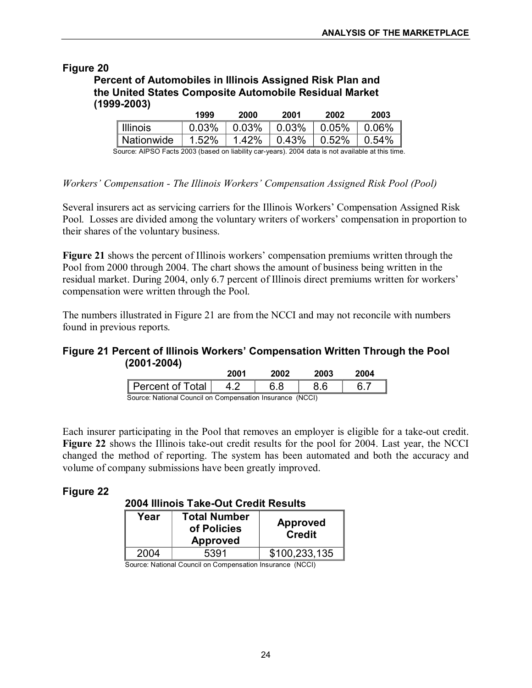## **Percent of Automobiles in Illinois Assigned Risk Plan and the United States Composite Automobile Residual Market (19992003)**

|            | 1999  | 2000         | 2001         | 2002         | 2003     |
|------------|-------|--------------|--------------|--------------|----------|
| Illinois   | 0.03% | $\mid$ 0.03% | $\mid$ 0.03% | $ 0.05\%$    | $0.06\%$ |
| Nationwide | 1.52% | 1.42%        | $ 0.43\%$    | $\mid$ 0.52% | $0.54\%$ |

Source: AIPSO Facts 2003 (based on liability caryears). 2004 data is not available at this time.

*Workers' Compensation The Illinois Workers' Compensation Assigned Risk Pool (Pool)*

Several insurers act as servicing carriers for the Illinois Workers' Compensation Assigned Risk Pool. Losses are divided among the voluntary writers of workers' compensation in proportion to their shares of the voluntary business.

**Figure 21** shows the percent of Illinois workers' compensation premiums written through the Pool from 2000 through 2004. The chart shows the amount of business being written in the residual market. During 2004, only 6.7 percent of Illinois direct premiums written for workers' compensation were written through the Pool.

The numbers illustrated in Figure 21 are from the NCCI and may not reconcile with numbers found in previous reports.

## **Figure 21 Percent of Illinois Workers' Compensation Written Through the Pool (20012004)**

|                                                           | 2001 | 2002 | 2003 | 2004 |  |  |  |
|-----------------------------------------------------------|------|------|------|------|--|--|--|
| Percent of Total                                          |      |      |      |      |  |  |  |
| Source: National Council on Compensation Insurance (NCCI) |      |      |      |      |  |  |  |

Each insurer participating in the Pool that removes an employer is eligible for a take-out credit. Figure 22 shows the Illinois take-out credit results for the pool for 2004. Last year, the NCCI changed the method of reporting. The system has been automated and both the accuracy and volume of company submissions have been greatly improved.

## **Figure 22**

**2004 Illinois Take-Out Credit Results** 

| Year | <b>Total Number</b><br>of Policies<br><b>Approved</b> | <b>Approved</b><br><b>Credit</b> |
|------|-------------------------------------------------------|----------------------------------|
| 2004 | 5391                                                  | \$100,233,135                    |
| .    | __<br>. .<br>$ -$<br>.                                | .                                |

Source: National Council on Compensation Insurance (NCCI)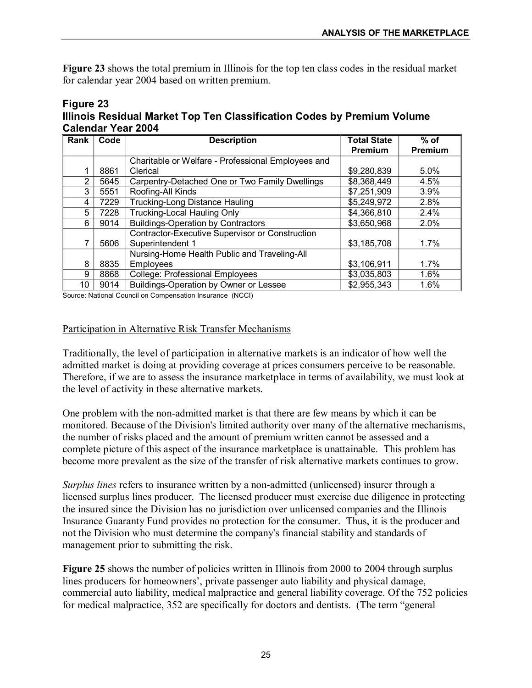**Figure 23** shows the total premium in Illinois for the top ten class codes in the residual market for calendar year 2004 based on written premium.

#### **Figure 23 Illinois Residual Market Top Ten Classification Codes by Premium Volume Calendar Year 2004**

| Rank           | Code | <b>Description</b>                                 | <b>Total State</b> | $%$ of  |
|----------------|------|----------------------------------------------------|--------------------|---------|
|                |      |                                                    | Premium            | Premium |
|                |      | Charitable or Welfare - Professional Employees and |                    |         |
|                | 8861 | Clerical                                           | \$9,280,839        | 5.0%    |
| $\overline{2}$ | 5645 | Carpentry-Detached One or Two Family Dwellings     | \$8,368,449        | 4.5%    |
| 3              | 5551 | Roofing-All Kinds                                  | \$7,251,909        | 3.9%    |
| 4              | 7229 | Trucking-Long Distance Hauling                     | \$5,249,972        | 2.8%    |
| 5              | 7228 | <b>Trucking-Local Hauling Only</b>                 | \$4,366,810        | 2.4%    |
| 6              | 9014 | <b>Buildings-Operation by Contractors</b>          | \$3,650,968        | 2.0%    |
|                |      | Contractor-Executive Supervisor or Construction    |                    |         |
|                | 5606 | Superintendent 1                                   | \$3,185,708        | 1.7%    |
|                |      | Nursing-Home Health Public and Traveling-All       |                    |         |
| 8              | 8835 | Employees                                          | \$3,106,911        | 1.7%    |
| 9              | 8868 | <b>College: Professional Employees</b>             | \$3,035,803        | 1.6%    |
| 10             | 9014 | Buildings-Operation by Owner or Lessee             | \$2,955,343        | 1.6%    |

Source: National Council on Compensation Insurance (NCCI)

#### Participation in Alternative Risk Transfer Mechanisms

Traditionally, the level of participation in alternative markets is an indicator of how well the admitted market is doing at providing coverage at prices consumers perceive to be reasonable. Therefore, if we are to assess the insurance marketplace in terms of availability, we must look at the level of activity in these alternative markets.

One problem with the non-admitted market is that there are few means by which it can be monitored. Because of the Division's limited authority over many of the alternative mechanisms, the number of risks placed and the amount of premium written cannot be assessed and a complete picture of this aspect of the insurance marketplace is unattainable. This problem has become more prevalent as the size of the transfer of risk alternative markets continues to grow.

*Surplus lines* refers to insurance written by a non-admitted (unlicensed) insurer through a licensed surplus lines producer. The licensed producer must exercise due diligence in protecting the insured since the Division has no jurisdiction over unlicensed companies and the Illinois Insurance Guaranty Fund provides no protection for the consumer. Thus, it is the producer and not the Division who must determine the company's financial stability and standards of management prior to submitting the risk.

Figure 25 shows the number of policies written in Illinois from 2000 to 2004 through surplus lines producers for homeowners', private passenger auto liability and physical damage, commercial auto liability, medical malpractice and general liability coverage. Of the 752 policies for medical malpractice, 352 are specifically for doctors and dentists. (The term "general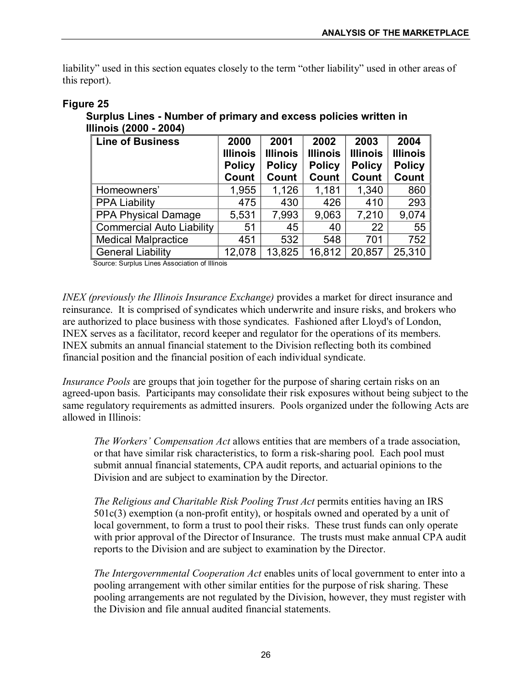liability" used in this section equates closely to the term "other liability" used in other areas of this report).

| Line of Business                 | 2000<br><b>Illinois</b><br><b>Policy</b><br>Count | 2001<br><b>Illinois</b><br><b>Policy</b><br>Count | 2002<br><b>Illinois</b><br><b>Policy</b><br>Count | 2003<br><b>Illinois</b><br><b>Policy</b><br>Count | 2004<br><b>Illinois</b><br><b>Policy</b><br>Count |
|----------------------------------|---------------------------------------------------|---------------------------------------------------|---------------------------------------------------|---------------------------------------------------|---------------------------------------------------|
| Homeowners'                      | 1,955                                             | 1,126                                             | 1,181                                             | 1,340                                             | 860                                               |
| <b>PPA Liability</b>             | 475                                               | 430                                               | 426                                               | 410                                               | 293                                               |
| <b>PPA Physical Damage</b>       | 5,531                                             | 7,993                                             | 9,063                                             | 7,210                                             | 9,074                                             |
| <b>Commercial Auto Liability</b> | 51                                                | 45                                                | 40                                                | 22                                                | 55                                                |
| <b>Medical Malpractice</b>       | 451                                               | 532                                               | 548                                               | 701                                               | 752                                               |
| <b>General Liability</b>         | 12,078                                            | 13,825                                            | 16,812                                            | 20,857                                            | 25,310                                            |

#### **Figure 25**

**Surplus Lines Number of primary and excess policies written in Illinois (2000 2004)**

Source: Surplus Lines Association of Illinois

*INEX (previously the Illinois Insurance Exchange)* provides a market for direct insurance and reinsurance. It is comprised of syndicates which underwrite and insure risks, and brokers who are authorized to place business with those syndicates. Fashioned after Lloyd's of London, INEX serves as a facilitator, record keeper and regulator for the operations of its members. INEX submits an annual financial statement to the Division reflecting both its combined financial position and the financial position of each individual syndicate.

*Insurance Pools* are groups that join together for the purpose of sharing certain risks on an agreed-upon basis. Participants may consolidate their risk exposures without being subject to the same regulatory requirements as admitted insurers. Pools organized under the following Acts are allowed in Illinois:

*The Workers' Compensation Act* allows entities that are members of a trade association, or that have similar risk characteristics, to form a risk-sharing pool. Each pool must submit annual financial statements, CPA audit reports, and actuarial opinions to the Division and are subject to examination by the Director.

*The Religious and Charitable Risk Pooling Trust Act* permits entities having an IRS  $501c(3)$  exemption (a non-profit entity), or hospitals owned and operated by a unit of local government, to form a trust to pool their risks. These trust funds can only operate with prior approval of the Director of Insurance. The trusts must make annual CPA audit reports to the Division and are subject to examination by the Director.

*The Intergovernmental Cooperation Act* enables units of local government to enter into a pooling arrangement with other similar entities for the purpose of risk sharing. These pooling arrangements are not regulated by the Division, however, they must register with the Division and file annual audited financial statements.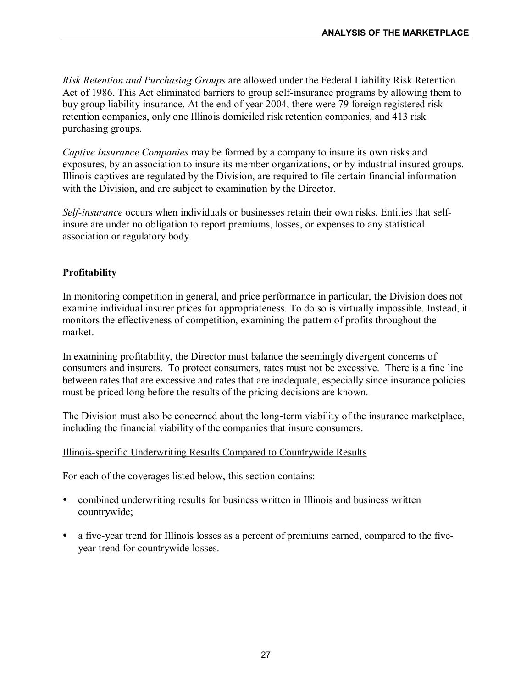*Risk Retention and Purchasing Groups* are allowed under the Federal Liability Risk Retention Act of 1986. This Act eliminated barriers to group self-insurance programs by allowing them to buy group liability insurance. At the end of year 2004, there were 79 foreign registered risk retention companies, only one Illinois domiciled risk retention companies, and 413 risk purchasing groups.

*Captive Insurance Companies* may be formed by a company to insure its own risks and exposures, by an association to insure its member organizations, or by industrial insured groups. Illinois captives are regulated by the Division, are required to file certain financial information with the Division, and are subject to examination by the Director.

*Self-insurance* occurs when individuals or businesses retain their own risks. Entities that selfinsure are under no obligation to report premiums, losses, or expenses to any statistical association or regulatory body.

## **Profitability**

In monitoring competition in general, and price performance in particular, the Division does not examine individual insurer prices for appropriateness. To do so is virtually impossible. Instead, it monitors the effectiveness of competition, examining the pattern of profits throughout the market.

In examining profitability, the Director must balance the seemingly divergent concerns of consumers and insurers. To protect consumers, rates must not be excessive. There is a fine line between rates that are excessive and rates that are inadequate, especially since insurance policies must be priced long before the results of the pricing decisions are known.

The Division must also be concerned about the long-term viability of the insurance marketplace, including the financial viability of the companies that insure consumers.

## Illinois-specific Underwriting Results Compared to Countrywide Results

For each of the coverages listed below, this section contains:

- ü combined underwriting results for business written in Illinois and business written countrywide;
- a five-year trend for Illinois losses as a percent of premiums earned, compared to the fiveyear trend for countrywide losses.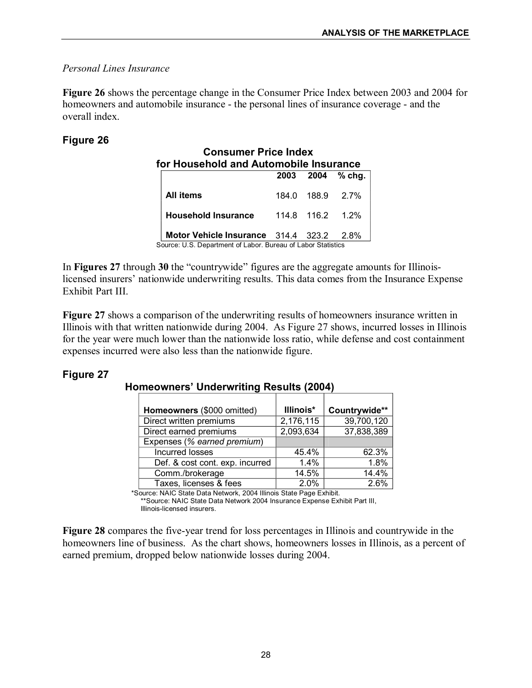## *Personal Lines Insurance*

**Figure 26** shows the percentage change in the Consumer Price Index between 2003 and 2004 for homeowners and automobile insurance - the personal lines of insurance coverage - and the overall index.

# **Figure 26**

|                                     |       |                  | 2003 2004 % chg. |
|-------------------------------------|-------|------------------|------------------|
| All items                           | 184.0 | 188.9 2.7%       |                  |
| <b>Household Insurance</b>          |       | 114.8 116.2 1.2% |                  |
| Motor Vehicle Insurance 314.4 323.2 |       |                  | 2.8%             |

In **Figures 27** through **30** the "countrywide" figures are the aggregate amounts for Illinoislicensed insurers' nationwide underwriting results. This data comes from the Insurance Expense Exhibit Part III.

**Figure 27** shows a comparison of the underwriting results of homeowners insurance written in Illinois with that written nationwide during 2004. As Figure 27 shows, incurred losses in Illinois for the year were much lower than the nationwide loss ratio, while defense and cost containment expenses incurred were also less than the nationwide figure.

# **Figure 27**

## **Homeowners' Underwriting Results (2004)**

| Homeowners (\$000 omitted)      | Illinois* | Countrywide** |
|---------------------------------|-----------|---------------|
| Direct written premiums         | 2,176,115 | 39,700,120    |
| Direct earned premiums          | 2,093,634 | 37,838,389    |
| Expenses (% earned premium)     |           |               |
| Incurred losses                 | 45.4%     | 62.3%         |
| Def. & cost cont. exp. incurred | 1.4%      | 1.8%          |
| Comm./brokerage                 | 14.5%     | 14.4%         |
| Taxes, licenses & fees          | 2.0%      | 2.6%          |

\*Source: NAIC State Data Network, 2004 Illinois State Page Exhibit.

\*\*Source: NAIC State Data Network 2004 Insurance Expense Exhibit Part III, Illinois-licensed insurers.

**Figure 28** compares the five-year trend for loss percentages in Illinois and countrywide in the homeowners line of business. As the chart shows, homeowners losses in Illinois, as a percent of earned premium, dropped below nationwide losses during 2004.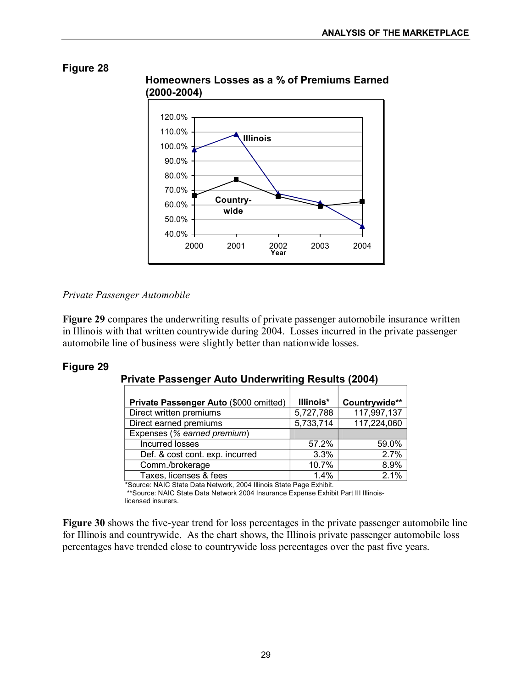

# **Homeowners Losses as a % of Premiums Earned**

*Private Passenger Automobile*

**Figure 29** compares the underwriting results of private passenger automobile insurance written in Illinois with that written countrywide during 2004. Losses incurred in the private passenger automobile line of business were slightly better than nationwide losses.

# **Figure 29**

## **Private Passenger Auto Underwriting Results (2004)**

| Private Passenger Auto (\$000 omitted) | Illinois* | Countrywide** |
|----------------------------------------|-----------|---------------|
| Direct written premiums                | 5,727,788 | 117,997,137   |
| Direct earned premiums                 | 5,733,714 | 117,224,060   |
| Expenses (% earned premium)            |           |               |
| Incurred losses                        | 57.2%     | 59.0%         |
| Def. & cost cont. exp. incurred        | 3.3%      | 2.7%          |
| Comm./brokerage                        | 10.7%     | 8.9%          |
| Taxes, licenses & fees                 | 1.4%      | 2.1%          |

\*Source: NAIC State Data Network, 2004 Illinois State Page Exhibit.

\*\*Source: NAIC State Data Network 2004 Insurance Expense Exhibit Part III Illinois licensed insurers.

**Figure 30** shows the five-year trend for loss percentages in the private passenger automobile line for Illinois and countrywide. As the chart shows, the Illinois private passenger automobile loss percentages have trended close to countrywide loss percentages over the past five years.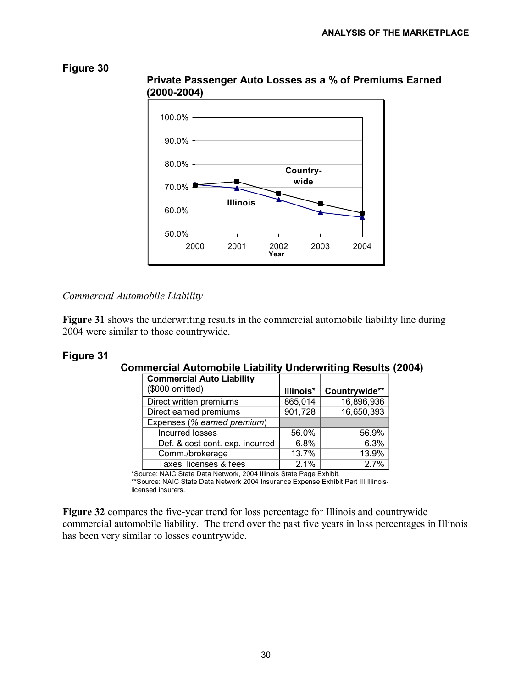![](_page_31_Figure_2.jpeg)

**Private Passenger Auto Losses as a % of Premiums Earned (20002004)**

#### *Commercial Automobile Liability*

**Figure 31** shows the underwriting results in the commercial automobile liability line during 2004 were similar to those countrywide.

## **Figure 31**

## **Commercial Automobile Liability Underwriting Results (2004)**

| <b>Commercial Auto Liability</b><br>(\$000 omitted) | Illinois* | Countrywide** |
|-----------------------------------------------------|-----------|---------------|
| Direct written premiums                             | 865,014   | 16,896,936    |
| Direct earned premiums                              | 901,728   | 16,650,393    |
| Expenses (% earned premium)                         |           |               |
| Incurred losses                                     | 56.0%     | 56.9%         |
| Def. & cost cont. exp. incurred                     | 6.8%      | 6.3%          |
| Comm./brokerage                                     | 13.7%     | 13.9%         |
| Taxes, licenses & fees                              | 2.1%      | 2.7%          |

\*Source: NAIC State Data Network, 2004 Illinois State Page Exhibit.

\*\*Source: NAIC State Data Network 2004 Insurance Expense Exhibit Part III Illinois licensed insurers.

**Figure 32** compares the five-year trend for loss percentage for Illinois and countrywide commercial automobile liability. The trend over the past five years in loss percentages in Illinois has been very similar to losses countrywide.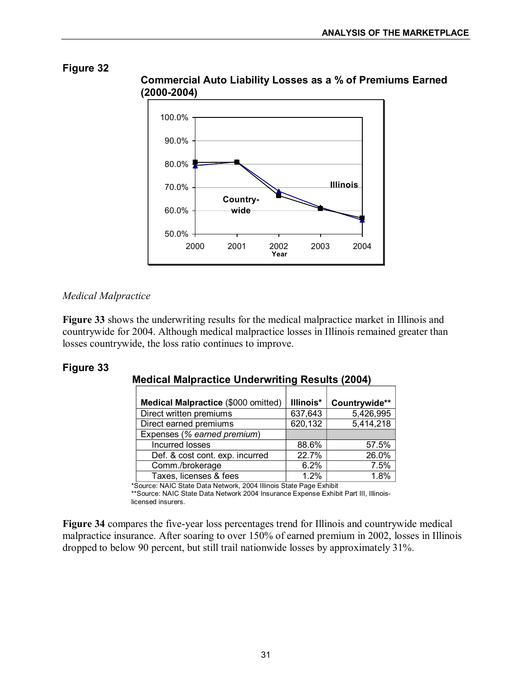![](_page_32_Figure_2.jpeg)

#### **Commercial Auto Liability Losses as a % of Premiums Earned (20002004)**

## *Medical Malpractice*

**Figure 33** shows the underwriting results for the medical malpractice market in Illinois and countrywide for 2004. Although medical malpractice losses in Illinois remained greater than losses countrywide, the loss ratio continues to improve.

# **Figure 33**

# **Medical Malpractice Underwriting Results (2004)**

| <b>Medical Malpractice (\$000 omitted)</b> | Illinois* | Countrywide** |
|--------------------------------------------|-----------|---------------|
| Direct written premiums                    | 637,643   | 5,426,995     |
| Direct earned premiums                     | 620,132   | 5,414,218     |
| Expenses (% earned premium)                |           |               |
| Incurred losses                            | 88.6%     | 57.5%         |
| Def. & cost cont. exp. incurred            | 22.7%     | 26.0%         |
| Comm./brokerage                            | 6.2%      | 7.5%          |
| Taxes, licenses & fees                     | 1.2%      | 1.8%          |

\*Source: NAIC State Data Network, 2004 Illinois State Page Exhibit

\*\*Source: NAIC State Data Network 2004 Insurance Expense Exhibit Part III, Illinoislicensed insurers.

**Figure 34** compares the five-year loss percentages trend for Illinois and countrywide medical malpractice insurance. After soaring to over 150% of earned premium in 2002, losses in Illinois dropped to below 90 percent, but still trail nationwide losses by approximately 31%.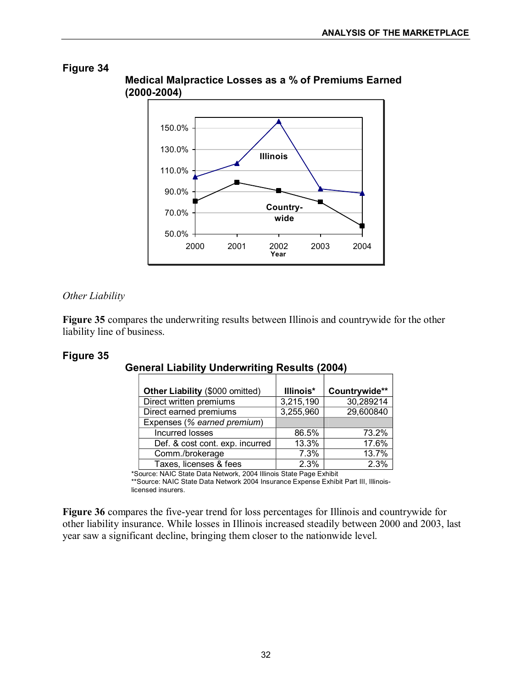![](_page_33_Figure_2.jpeg)

# **Medical Malpractice Losses as a % of Premiums Earned (20002004)**

## *Other Liability*

**Figure 35** compares the underwriting results between Illinois and countrywide for the other liability line of business.

# **Figure 35**

| Other Liability (\$000 omitted) | Illinois* | Countrywide** |
|---------------------------------|-----------|---------------|
| Direct written premiums         | 3,215,190 | 30,289214     |
| Direct earned premiums          | 3,255,960 | 29,600840     |
| Expenses (% earned premium)     |           |               |
| Incurred losses                 | 86.5%     | 73.2%         |
| Def. & cost cont. exp. incurred | 13.3%     | 17.6%         |
| Comm./brokerage                 | 7.3%      | 13.7%         |
| Taxes, licenses & fees          | 2.3%      | 2.3%          |

# **General Liability Underwriting Results (2004)**

\*Source: NAIC State Data Network, 2004 Illinois State Page Exhibit

\*\*Source: NAIC State Data Network 2004 Insurance Expense Exhibit Part III, Illinois licensed insurers.

**Figure 36** compares the five-year trend for loss percentages for Illinois and countrywide for other liability insurance. While losses in Illinois increased steadily between 2000 and 2003, last year saw a significant decline, bringing them closer to the nationwide level.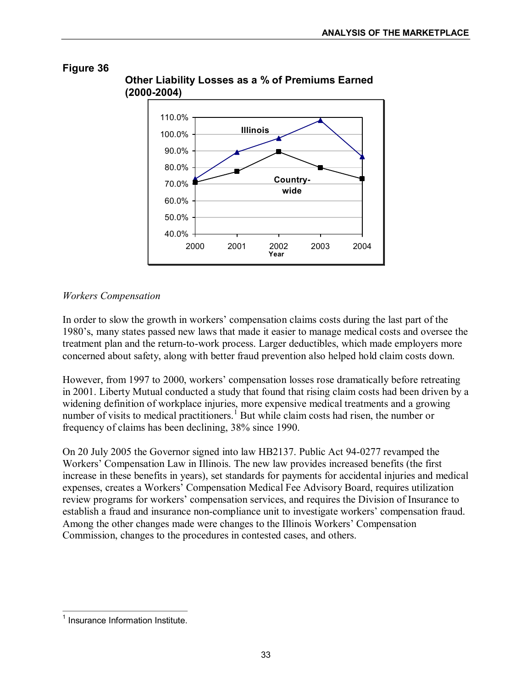![](_page_34_Figure_2.jpeg)

# **Other Liability Losses as a % of Premiums Earned (20002004)**

## *Workers Compensation*

In order to slow the growth in workers' compensation claims costs during the last part of the 1980's, many states passed new laws that made it easier to manage medical costs and oversee the treatment plan and the return-to-work process. Larger deductibles, which made employers more concerned about safety, along with better fraud prevention also helped hold claim costs down.

However, from 1997 to 2000, workers' compensation losses rose dramatically before retreating in 2001. Liberty Mutual conducted a study that found that rising claim costs had been driven by a widening definition of workplace injuries, more expensive medical treatments and a growing number of visits to medical practitioners.<sup>1</sup> But while claim costs had risen, the number or frequency of claims has been declining, 38% since 1990.

On 20 July 2005 the Governor signed into law HB2137. Public Act 94-0277 revamped the Workers' Compensation Law in Illinois. The new law provides increased benefits (the first increase in these benefits in years), set standards for payments for accidental injuries and medical expenses, creates a Workers' Compensation Medical Fee Advisory Board, requires utilization review programs for workers' compensation services, and requires the Division of Insurance to establish a fraud and insurance non-compliance unit to investigate workers' compensation fraud. Among the other changes made were changes to the Illinois Workers' Compensation Commission, changes to the procedures in contested cases, and others.

 $<sup>1</sup>$  Insurance Information Institute.</sup>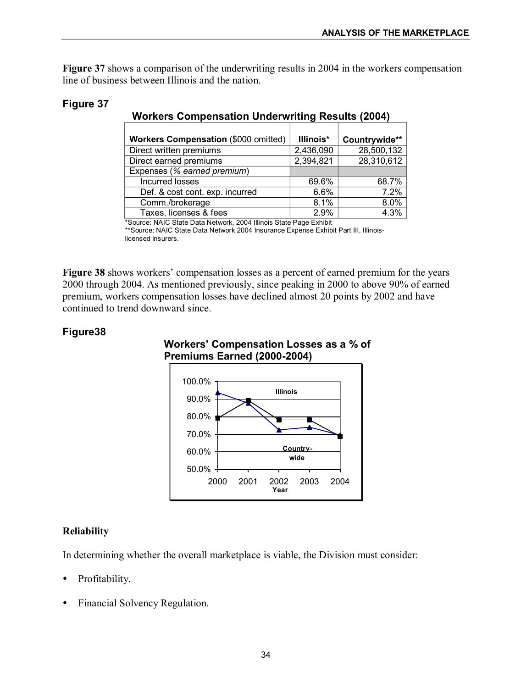**Figure 37** shows a comparison of the underwriting results in 2004 in the workers compensation line of business between Illinois and the nation.

| <b>Workers Compensation (\$000 omitted)</b> | Illinois* | Countrywide** |
|---------------------------------------------|-----------|---------------|
| Direct written premiums                     | 2,436,090 | 28,500,132    |
| Direct earned premiums                      | 2,394,821 | 28,310,612    |
| Expenses (% earned premium)                 |           |               |
| Incurred losses                             | 69.6%     | 68.7%         |
| Def. & cost cont. exp. incurred             | 6.6%      | 7.2%          |
| Comm./brokerage                             | 8.1%      | 8.0%          |
| Taxes, licenses & fees                      | 2.9%      | 4.3%          |

## **Workers Compensation Underwriting Results (2004)**

\*Source: NAIC State Data Network, 2004 Illinois State Page Exhibit

\*\*Source: NAIC State Data Network 2004 Insurance Expense Exhibit Part III, Illinois licensed insurers.

**Figure 38** shows workers' compensation losses as a percent of earned premium for the years 2000 through 2004. As mentioned previously, since peaking in 2000 to above 90% of earned premium, workers compensation losses have declined almost 20 points by 2002 and have continued to trend downward since.

## **Figure38**

**Figure 37**

![](_page_35_Figure_8.jpeg)

![](_page_35_Figure_9.jpeg)

## **Reliability**

In determining whether the overall marketplace is viable, the Division must consider:

- Profitability.
- ü Financial Solvency Regulation.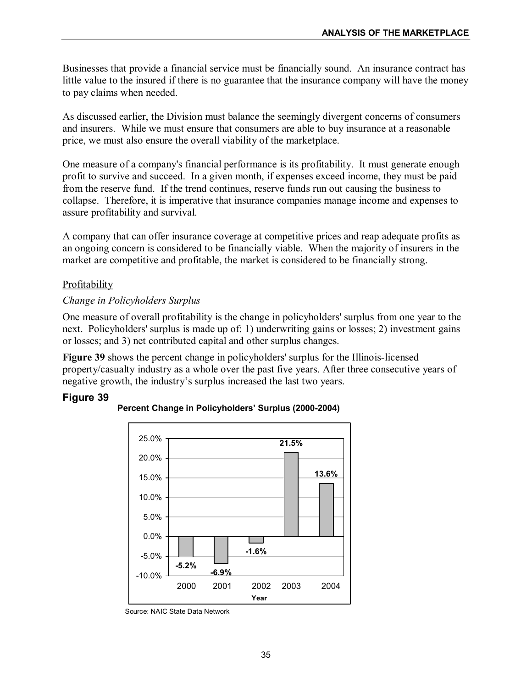Businesses that provide a financial service must be financially sound. An insurance contract has little value to the insured if there is no guarantee that the insurance company will have the money to pay claims when needed.

As discussed earlier, the Division must balance the seemingly divergent concerns of consumers and insurers. While we must ensure that consumers are able to buy insurance at a reasonable price, we must also ensure the overall viability of the marketplace.

One measure of a company's financial performance is its profitability. It must generate enough profit to survive and succeed. In a given month, if expenses exceed income, they must be paid from the reserve fund. If the trend continues, reserve funds run out causing the business to collapse. Therefore, it is imperative that insurance companies manage income and expenses to assure profitability and survival.

A company that can offer insurance coverage at competitive prices and reap adequate profits as an ongoing concern is considered to be financially viable. When the majority of insurers in the market are competitive and profitable, the market is considered to be financially strong.

## Profitability

## *Change in Policyholders Surplus*

One measure of overall profitability is the change in policyholders' surplus from one year to the next. Policyholders' surplus is made up of: 1) underwriting gains or losses; 2) investment gains or losses; and 3) net contributed capital and other surplus changes.

**Figure 39** shows the percent change in policyholders' surplus for the Illinois-licensed property/casualty industry as a whole over the past five years. After three consecutive years of negative growth, the industry's surplus increased the last two years.

## **Figure 39**

![](_page_36_Figure_10.jpeg)

## **Percent Change in Policyholders' Surplus (2000-2004)**

Source: NAIC State Data Network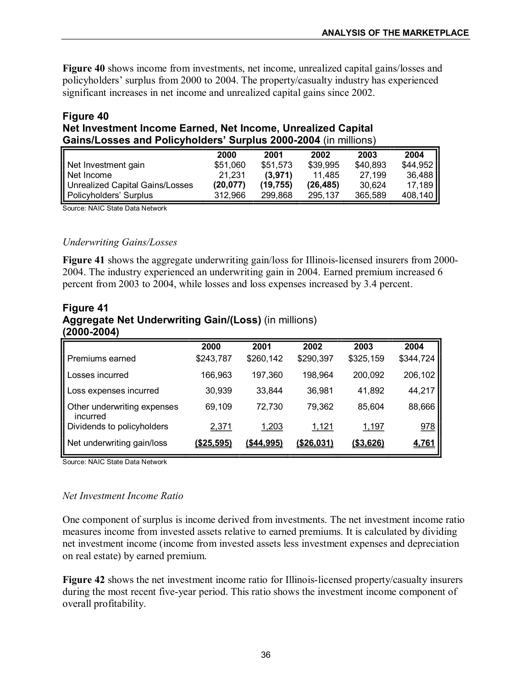**Figure 40** shows income from investments, net income, unrealized capital gains/losses and policyholders' surplus from 2000 to 2004. The property/casualty industry has experienced significant increases in net income and unrealized capital gains since 2002.

## **Figure 40 Net Investment Income Earned, Net Income, Unrealized Capital**  Gains/Losses and Policyholders' Surplus 2000-2004 (in millions)

|                                        | 2000     | 2001     | 2002     | 2003     | 2004      |
|----------------------------------------|----------|----------|----------|----------|-----------|
| Net Investment gain                    | \$51,060 | \$51.573 | \$39,995 | \$40,893 | $$44,952$ |
| Net Income                             | 21,231   | (3,971)  | 11.485   | 27,199   | 36,488    |
| <b>Unrealized Capital Gains/Losses</b> | (20.077) | (19.755) | (26.485) | 30.624   | 17,189    |
| Policyholders' Surplus                 | 312.966  | 299.868  | 295,137  | 365,589  | 408,140   |

Source: NAIC State Data Network

#### *Underwriting Gains/Losses*

**Figure 41** shows the aggregate underwriting gain/loss for Illinois-licensed insurers from 2000-2004. The industry experienced an underwriting gain in 2004. Earned premium increased 6 percent from 2003 to 2004, while losses and loss expenses increased by 3.4 percent.

## **Figure 41 Aggregate Net Underwriting Gain/(Loss)** (in millions) **(20002004)**

|                                         | 2000              | 2001              | 2002              | 2003             | 2004         |
|-----------------------------------------|-------------------|-------------------|-------------------|------------------|--------------|
| Premiums earned                         | \$243,787         | \$260,142         | \$290,397         | \$325,159        | \$344,724    |
| Losses incurred                         | 166,963           | 197,360           | 198,964           | 200,092          | 206,102      |
| Loss expenses incurred                  | 30,939            | 33,844            | 36,981            | 41,892           | 44,217       |
| Other underwriting expenses<br>incurred | 69,109            | 72,730            | 79,362            | 85,604           | 88,666       |
| Dividends to policyholders              | 2,371             | 1,203             | 1,121             | 1,197            | 978          |
| Net underwriting gain/loss              | <u>(\$25,595)</u> | <u>(\$44,995)</u> | <u>(\$26,031)</u> | <u>(\$3,626)</u> | <u>4,761</u> |

Source: NAIC State Data Network

## *Net Investment Income Ratio*

One component of surplus is income derived from investments. The net investment income ratio measures income from invested assets relative to earned premiums. It is calculated by dividing net investment income (income from invested assets less investment expenses and depreciation on real estate) by earned premium.

**Figure 42** shows the net investment income ratio for Illinois-licensed property/casualty insurers during the most recent five-year period. This ratio shows the investment income component of overall profitability.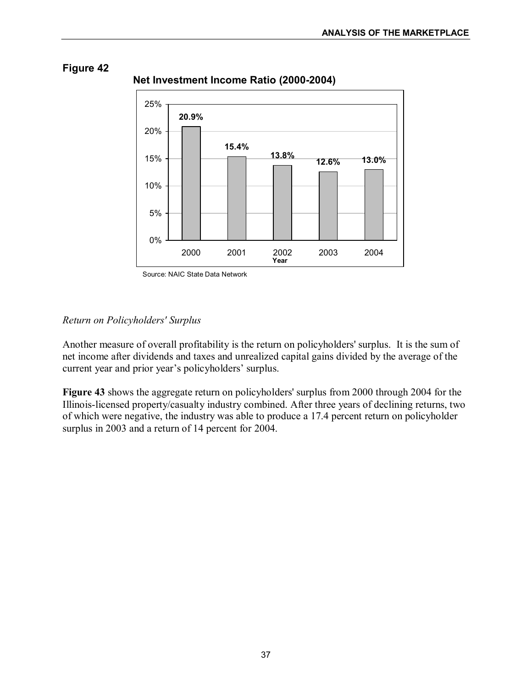**13.8% 12.6% 13.0%**

![](_page_38_Figure_1.jpeg)

**15.4%** 

# **Figure 42**

![](_page_38_Figure_3.jpeg)

## *Return on Policyholders' Surplus*

0%

5%

10%

15%

Another measure of overall profitability is the return on policyholders' surplus. It is the sum of net income after dividends and taxes and unrealized capital gains divided by the average of the current year and prior year's policyholders' surplus.

**Figure 43** shows the aggregate return on policyholders' surplus from 2000 through 2004 for the Illinois-licensed property/casualty industry combined. After three years of declining returns, two of which were negative, the industry was able to produce a 17.4 percent return on policyholder surplus in 2003 and a return of 14 percent for 2004.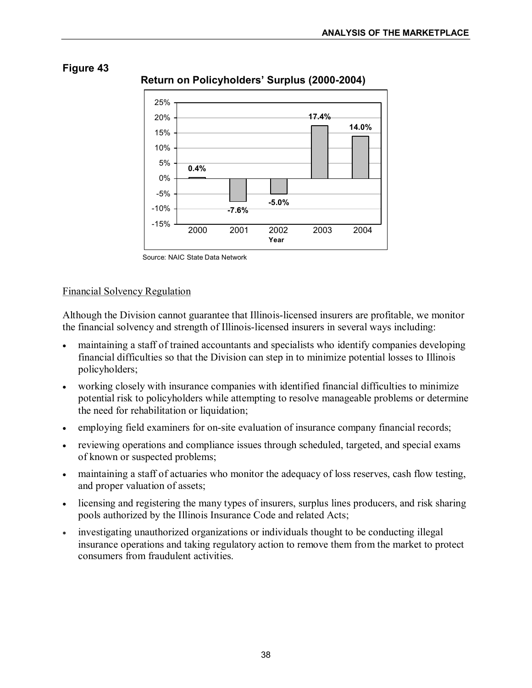![](_page_39_Figure_1.jpeg)

![](_page_39_Figure_2.jpeg)

## **Return on Policyholders' Surplus (2000-2004)**

## Financial Solvency Regulation

Although the Division cannot guarantee that Illinois-licensed insurers are profitable, we monitor the financial solvency and strength of Illinois-licensed insurers in several ways including:

- maintaining a staff of trained accountants and specialists who identify companies developing financial difficulties so that the Division can step in to minimize potential losses to Illinois policyholders;
- working closely with insurance companies with identified financial difficulties to minimize potential risk to policyholders while attempting to resolve manageable problems or determine the need for rehabilitation or liquidation;
- employing field examiners for on-site evaluation of insurance company financial records;
- reviewing operations and compliance issues through scheduled, targeted, and special exams of known or suspected problems;
- maintaining a staff of actuaries who monitor the adequacy of loss reserves, cash flow testing, and proper valuation of assets;
- licensing and registering the many types of insurers, surplus lines producers, and risk sharing pools authorized by the Illinois Insurance Code and related Acts;
- investigating unauthorized organizations or individuals thought to be conducting illegal insurance operations and taking regulatory action to remove them from the market to protect consumers from fraudulent activities.

Source: NAIC State Data Network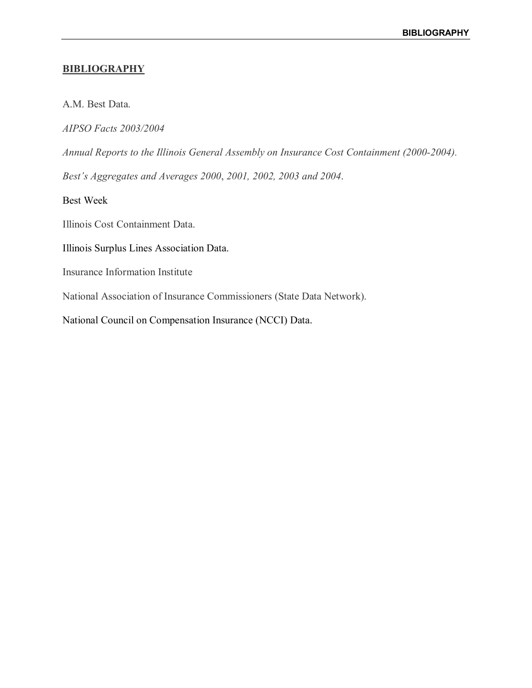#### **BIBLIOGRAPHY**

A.M. Best Data.

*AIPSO Facts 2003/2004* 

*Annual Reports to the Illinois General Assembly on Insurance Cost Containment (20002004).*

*Best's Aggregates and Averages 2000*, *2001, 2002, 2003 and 2004*.

Best Week

Illinois Cost Containment Data.

Illinois Surplus Lines Association Data.

Insurance Information Institute

National Association of Insurance Commissioners (State Data Network).

National Council on Compensation Insurance (NCCI) Data.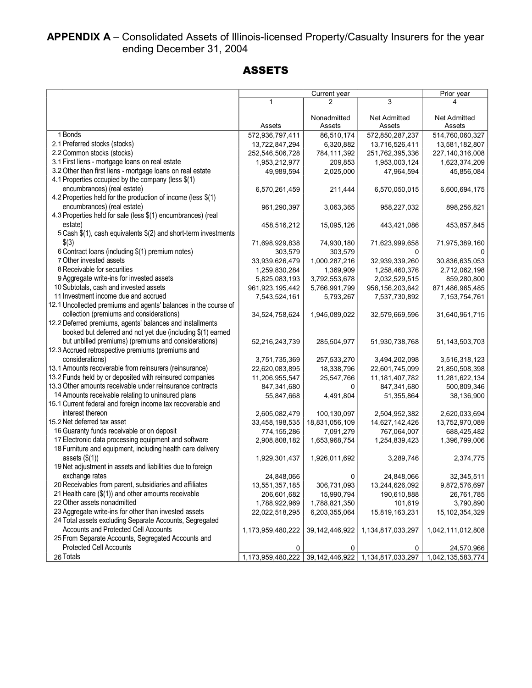# APPENDIX A – Consolidated Assets of Illinois-licensed Property/Casualty Insurers for the year ending December 31, 2004

# ASSETS

|                                                                 |                   | Current year          |                               | Prior year             |
|-----------------------------------------------------------------|-------------------|-----------------------|-------------------------------|------------------------|
|                                                                 | $\mathbf{1}$      | 2                     | 3                             | 4                      |
|                                                                 | Assets            | Nonadmitted<br>Assets | <b>Net Admitted</b><br>Assets | Net Admitted<br>Assets |
| 1 Bonds                                                         | 572,936,797,411   | 86,510,174            | 572,850,287,237               | 514,760,060,327        |
| 2.1 Preferred stocks (stocks)                                   | 13,722,847,294    | 6,320,882             | 13,716,526,411                | 13,581,182,807         |
| 2.2 Common stocks (stocks)                                      | 252,546,506,728   | 784,111,392           | 251,762,395,336               | 227, 140, 316, 008     |
| 3.1 First liens - mortgage loans on real estate                 | 1,953,212,977     | 209,853               | 1,953,003,124                 | 1,623,374,209          |
| 3.2 Other than first liens - mortgage loans on real estate      | 49,989,594        | 2,025,000             | 47,964,594                    | 45,856,084             |
| 4.1 Properties occupied by the company (less \$(1)              |                   |                       |                               |                        |
| encumbrances) (real estate)                                     | 6,570,261,459     | 211,444               | 6,570,050,015                 | 6,600,694,175          |
| 4.2 Properties held for the production of income (less \$(1)    |                   |                       |                               |                        |
| encumbrances) (real estate)                                     | 961,290,397       | 3,063,365             | 958,227,032                   | 898,256,821            |
| 4.3 Properties held for sale (less \$(1) encumbrances) (real    |                   |                       |                               |                        |
| estate)                                                         | 458,516,212       | 15,095,126            | 443,421,086                   | 453,857,845            |
| 5 Cash \$(1), cash equivalents \$(2) and short-term investments |                   |                       |                               |                        |
| \$(3)                                                           | 71,698,929,838    | 74,930,180            | 71,623,999,658                | 71,975,389,160         |
| 6 Contract Ioans (including \$(1) premium notes)                | 303,579           | 303,579               | $\Omega$                      |                        |
| 7 Other invested assets                                         | 33,939,626,479    | 1,000,287,216         | 32,939,339,260                | 30,836,635,053         |
| 8 Receivable for securities                                     | 1,259,830,284     | 1,369,909             | 1,258,460,376                 | 2,712,062,198          |
| 9 Aggregate write-ins for invested assets                       | 5,825,083,193     | 3,792,553,678         | 2,032,529,515                 | 859,280,800            |
| 10 Subtotals, cash and invested assets                          | 961,923,195,442   | 5,766,991,799         | 956, 156, 203, 642            | 871,486,965,485        |
| 11 Investment income due and accrued                            | 7,543,524,161     | 5,793,267             | 7,537,730,892                 | 7, 153, 754, 761       |
| 12.1 Uncollected premiums and agents' balances in the course of |                   |                       |                               |                        |
| collection (premiums and considerations)                        | 34,524,758,624    | 1,945,089,022         | 32,579,669,596                | 31,640,961,715         |
| 12.2 Deferred premiums, agents' balances and installments       |                   |                       |                               |                        |
| booked but deferred and not yet due (including \$(1) earned     |                   |                       |                               |                        |
| but unbilled premiums) (premiums and considerations)            |                   | 285,504,977           |                               |                        |
| 12.3 Accrued retrospective premiums (premiums and               | 52,216,243,739    |                       | 51,930,738,768                | 51, 143, 503, 703      |
| considerations)                                                 | 3,751,735,369     | 257,533,270           | 3,494,202,098                 | 3,516,318,123          |
| 13.1 Amounts recoverable from reinsurers (reinsurance)          |                   |                       |                               |                        |
| 13.2 Funds held by or deposited with reinsured companies        | 22,620,083,895    | 18,338,796            | 22,601,745,099                | 21,850,508,398         |
| 13.3 Other amounts receivable under reinsurance contracts       | 11,206,955,547    | 25,547,766            | 11, 181, 407, 782             | 11,281,622,134         |
| 14 Amounts receivable relating to uninsured plans               | 847,341,680       | 0                     | 847,341,680                   | 500,809,346            |
| 15.1 Current federal and foreign income tax recoverable and     | 55,847,668        | 4,491,804             | 51,355,864                    | 38,136,900             |
| interest thereon                                                |                   |                       |                               |                        |
| 15.2 Net deferred tax asset                                     | 2,605,082,479     | 100,130,097           | 2,504,952,382                 | 2,620,033,694          |
|                                                                 | 33,458,198,535    | 18,831,056,109        | 14,627,142,426                | 13,752,970,089         |
| 16 Guaranty funds receivable or on deposit                      | 774,155,286       | 7,091,279             | 767,064,007                   | 688,425,482            |
| 17 Electronic data processing equipment and software            | 2,908,808,182     | 1,653,968,754         | 1,254,839,423                 | 1,396,799,006          |
| 18 Furniture and equipment, including health care delivery      |                   |                       |                               |                        |
| assets $(\$(1))$                                                | 1,929,301,437     | 1,926,011,692         | 3,289,746                     | 2,374,775              |
| 19 Net adjustment in assets and liabilities due to foreign      |                   |                       |                               |                        |
| exchange rates                                                  | 24,848,066        | 0                     | 24,848,066                    | 32,345,511             |
| 20 Receivables from parent, subsidiaries and affiliates         | 13,551,357,185    | 306,731,093           | 13,244,626,092                | 9,872,576,697          |
| 21 Health care (\$(1)) and other amounts receivable             | 206,601,682       | 15,990,794            | 190,610,888                   | 26,761,785             |
| 22 Other assets nonadmitted                                     | 1,788,922,969     | 1,788,821,350         | 101,619                       | 3,790,890              |
| 23 Aggregate write-ins for other than invested assets           | 22,022,518,295    | 6,203,355,064         | 15,819,163,231                | 15, 102, 354, 329      |
| 24 Total assets excluding Separate Accounts, Segregated         |                   |                       |                               |                        |
| Accounts and Protected Cell Accounts                            | 1,173,959,480,222 | 39, 142, 446, 922     | 1,134,817,033,297             | 1,042,111,012,808      |
| 25 From Separate Accounts, Segregated Accounts and              |                   |                       |                               |                        |
| <b>Protected Cell Accounts</b>                                  | 0                 | 0                     | 0                             | 24,570,966             |
| 26 Totals                                                       | 1,173,959,480,222 | 39, 142, 446, 922     | 1,134,817,033,297             | 1,042,135,583,774      |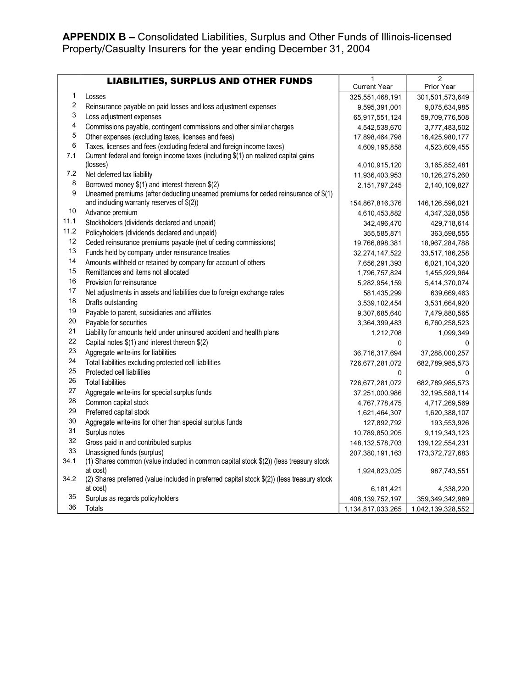# APPENDIX B - Consolidated Liabilities, Surplus and Other Funds of Illinois-licensed Property/Casualty Insurers for the year ending December 31, 2004

|      |                                                                                             | 1                   | $\overline{2}$     |
|------|---------------------------------------------------------------------------------------------|---------------------|--------------------|
|      | <b>LIABILITIES, SURPLUS AND OTHER FUNDS</b>                                                 | <b>Current Year</b> | Prior Year         |
| 1    | Losses                                                                                      | 325,551,468,191     | 301,501,573,649    |
| 2    | Reinsurance payable on paid losses and loss adjustment expenses                             | 9,595,391,001       | 9,075,634,985      |
| 3    | Loss adjustment expenses                                                                    | 65,917,551,124      | 59,709,776,508     |
| 4    | Commissions payable, contingent commissions and other similar charges                       | 4,542,538,670       | 3,777,483,502      |
| 5    | Other expenses (excluding taxes, licenses and fees)                                         | 17,898,464,798      | 16,425,980,177     |
| 6    | Taxes, licenses and fees (excluding federal and foreign income taxes)                       | 4,609,195,858       | 4,523,609,455      |
| 7.1  | Current federal and foreign income taxes (including \$(1) on realized capital gains         |                     |                    |
|      | (losses)                                                                                    | 4,010,915,120       | 3,165,852,481      |
| 7.2  | Net deferred tax liability                                                                  | 11,936,403,953      | 10,126,275,260     |
| 8    | Borrowed money \$(1) and interest thereon \$(2)                                             | 2,151,797,245       | 2,140,109,827      |
| 9    | Unearned premiums (after deducting unearned premiums for ceded reinsurance of \$(1)         |                     |                    |
| 10   | and including warranty reserves of $$(2))$                                                  | 154,867,816,376     | 146, 126, 596, 021 |
| 11.1 | Advance premium                                                                             | 4,610,453,882       | 4, 347, 328, 058   |
|      | Stockholders (dividends declared and unpaid)                                                | 342,496,470         | 429,718,614        |
| 11.2 | Policyholders (dividends declared and unpaid)                                               | 355,585,871         | 363,598,555        |
| 12   | Ceded reinsurance premiums payable (net of ceding commissions)                              | 19,766,898,381      | 18,967,284,788     |
| 13   | Funds held by company under reinsurance treaties                                            | 32,274,147,522      | 33,517,186,258     |
| 14   | Amounts withheld or retained by company for account of others                               | 7,656,291,393       | 6,021,104,320      |
| 15   | Remittances and items not allocated                                                         | 1,796,757,824       | 1,455,929,964      |
| 16   | Provision for reinsurance                                                                   | 5,282,954,159       | 5,414,370,074      |
| 17   | Net adjustments in assets and liabilities due to foreign exchange rates                     | 581,435,299         | 639,669,463        |
| 18   | Drafts outstanding                                                                          | 3,539,102,454       | 3,531,664,920      |
| 19   | Payable to parent, subsidiaries and affiliates                                              | 9,307,685,640       | 7,479,880,565      |
| 20   | Payable for securities                                                                      | 3,364,399,483       | 6,760,258,523      |
| 21   | Liability for amounts held under uninsured accident and health plans                        | 1,212,708           | 1,099,349          |
| 22   | Capital notes \$(1) and interest thereon \$(2)                                              | 0                   | 0                  |
| 23   | Aggregate write-ins for liabilities                                                         | 36,716,317,694      | 37,288,000,257     |
| 24   | Total liabilities excluding protected cell liabilities                                      | 726,677,281,072     | 682,789,985,573    |
| 25   | Protected cell liabilities                                                                  | 0                   | 0                  |
| 26   | <b>Total liabilities</b>                                                                    | 726,677,281,072     | 682,789,985,573    |
| 27   | Aggregate write-ins for special surplus funds                                               | 37,251,000,986      | 32, 195, 588, 114  |
| 28   | Common capital stock                                                                        | 4,767,778,475       | 4,717,269,569      |
| 29   | Preferred capital stock                                                                     | 1,621,464,307       | 1,620,388,107      |
| 30   | Aggregate write-ins for other than special surplus funds                                    | 127,892,792         | 193,553,926        |
| 31   | Surplus notes                                                                               | 10,789,850,205      | 9,119,343,123      |
| 32   | Gross paid in and contributed surplus                                                       | 148, 132, 578, 703  | 139, 122, 554, 231 |
| 33   | Unassigned funds (surplus)                                                                  | 207,380,191,163     | 173,372,727,683    |
| 34.1 | (1) Shares common (value included in common capital stock \$(2)) (less treasury stock       |                     |                    |
|      | at cost)                                                                                    | 1,924,823,025       | 987,743,551        |
| 34.2 | (2) Shares preferred (value included in preferred capital stock \$(2)) (less treasury stock |                     |                    |
|      | at cost)                                                                                    | 6,181,421           | 4,338,220          |
| 35   | Surplus as regards policyholders                                                            | 408,139,752,197     | 359,349,342,989    |
| 36   | Totals                                                                                      | 1,134,817,033,265   | 1,042,139,328,552  |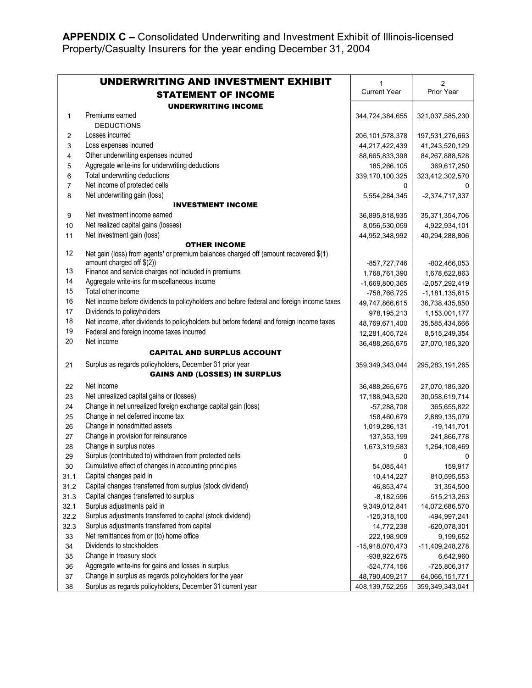**APPENDIX C –** Consolidated Underwriting and Investment Exhibit of Illinois-licensed Property/Casualty Insurers for the year ending December 31, 2004

|      | UNDERWRITING AND INVESTMENT EXHIBIT                                                      | $\mathbf{1}$        | $\overline{2}$     |
|------|------------------------------------------------------------------------------------------|---------------------|--------------------|
|      | <b>STATEMENT OF INCOME</b>                                                               | <b>Current Year</b> | Prior Year         |
|      | <b>UNDERWRITING INCOME</b>                                                               |                     |                    |
| 1    | Premiums earned                                                                          | 344,724,384,655     | 321,037,585,230    |
|      | <b>DEDUCTIONS</b>                                                                        |                     |                    |
| 2    | Losses incurred                                                                          | 206, 101, 578, 378  | 197,531,276,663    |
| 3    | Loss expenses incurred                                                                   | 44,217,422,439      | 41,243,520,129     |
| 4    | Other underwriting expenses incurred                                                     | 88,665,833,398      | 84,267,888,528     |
| 5    | Aggregate write-ins for underwriting deductions                                          | 185,266,105         | 369,617,250        |
| 6    | Total underwriting deductions                                                            | 339,170,100,325     | 323,412,302,570    |
| 7    | Net income of protected cells                                                            | 0                   | 0                  |
| 8    | Net underwriting gain (loss)                                                             | 5,554,284,345       | $-2,374,717,337$   |
|      | <b>INVESTMENT INCOME</b>                                                                 |                     |                    |
| 9    | Net investment income earned                                                             | 36,895,818,935      | 35,371,354,706     |
| 10   | Net realized capital gains (losses)                                                      | 8,056,530,059       | 4,922,934,101      |
| 11   | Net investment gain (loss)                                                               | 44,952,348,992      | 40,294,288,806     |
|      | <b>OTHER INCOME</b>                                                                      |                     |                    |
| 12   | Net gain (loss) from agents' or premium balances charged off (amount recovered \$(1)     |                     |                    |
|      | amount charged off \$(2))                                                                | -857,727,746        | $-802,466,053$     |
| 13   | Finance and service charges not included in premiums                                     | 1,768,761,390       | 1,678,622,863      |
| 14   | Aggregate write-ins for miscellaneous income                                             | -1,669,800,365      | -2,057,292,419     |
| 15   | Total other income                                                                       | -758,766,725        | $-1,181,135,615$   |
| 16   | Net income before dividends to policyholders and before federal and foreign income taxes | 49,747,866,615      | 36,738,435,850     |
| 17   | Dividends to policyholders                                                               | 978,195,213         | 1,153,001,177      |
| 18   | Net income, after dividends to policyholders but before federal and foreign income taxes | 48,769,671,400      | 35,585,434,666     |
| 19   | Federal and foreign income taxes incurred                                                | 12,281,405,724      | 8,515,249,354      |
| 20   | Net income                                                                               | 36,488,265,675      | 27,070,185,320     |
|      | <b>CAPITAL AND SURPLUS ACCOUNT</b>                                                       |                     |                    |
| 21   | Surplus as regards policyholders, December 31 prior year                                 | 359,349,343,044     | 295, 283, 191, 265 |
|      | <b>GAINS AND (LOSSES) IN SURPLUS</b>                                                     |                     |                    |
| 22   | Net income                                                                               | 36,488,265,675      | 27,070,185,320     |
| 23   | Net unrealized capital gains or (losses)                                                 | 17,188,943,520      | 30,058,619,714     |
| 24   | Change in net unrealized foreign exchange capital gain (loss)                            | $-57,288,708$       | 365,655,822        |
| 25   | Change in net deferred income tax                                                        | 158,460,679         | 2,889,135,079      |
| 26   | Change in nonadmitted assets                                                             | 1,019,286,131       | $-19, 141, 701$    |
| 27   | Change in provision for reinsurance                                                      | 137, 353, 199       | 241,866,778        |
| 28   | Change in surplus notes                                                                  | 1,673,319,583       | 1,264,108,469      |
| 29   | Surplus (contributed to) withdrawn from protected cells                                  | 0                   | 0                  |
| 30   | Cumulative effect of changes in accounting principles                                    | 54,085,441          | 159,917            |
| 31.1 | Capital changes paid in                                                                  | 10,414,227          | 810,595,553        |
| 31.2 | Capital changes transferred from surplus (stock dividend)                                | 46,853,474          | 31,354,500         |
| 31.3 | Capital changes transferred to surplus                                                   | $-8,182,596$        | 515,213,263        |
| 32.1 | Surplus adjustments paid in                                                              | 9,349,012,841       | 14,072,686,570     |
| 32.2 | Surplus adjustments transferred to capital (stock dividend)                              | $-125,318,100$      | -494,997,241       |
| 32.3 | Surplus adjustments transferred from capital                                             | 14,772,238          | $-620,078,301$     |
| 33   | Net remittances from or (to) home office                                                 | 222,198,909         | 9,199,652          |
| 34   | Dividends to stockholders                                                                | -15,918,070,473     | -11,409,248,278    |
| 35   | Change in treasury stock                                                                 | -938,922,675        | 6,642,960          |
| 36   | Aggregate write-ins for gains and losses in surplus                                      | $-524,774,156$      | -725,806,317       |
| 37   | Change in surplus as regards policyholders for the year                                  | 48,790,409,217      | 64,066,151,771     |
| 38   | Surplus as regards policyholders, December 31 current year                               | 408,139,752,255     | 359,349,343,041    |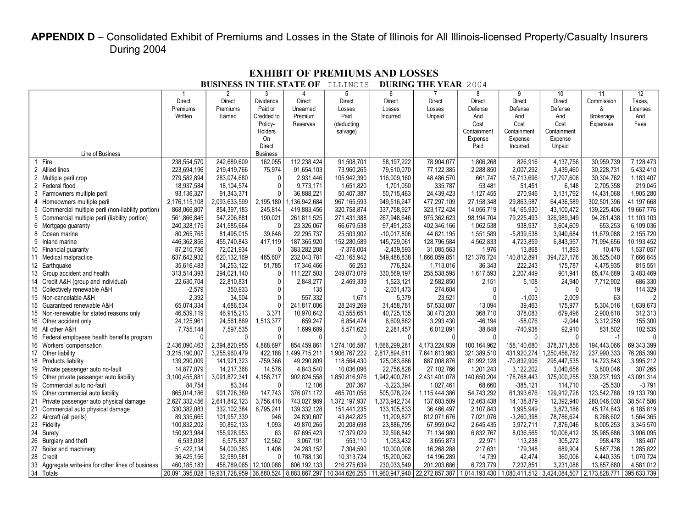# APPENDIX D - Consolidated Exhibit of Premiums and Losses in the State of Illinois for All Illinois-licensed Property/Casualty Insurers During 2004

|                                                        |                        | DUSINESS IN THE STATE OF  |                  |                  | TTTIMOTS              |                           | DUNING THE TEAN              | ムUU4          |                             |                    |                  |              |
|--------------------------------------------------------|------------------------|---------------------------|------------------|------------------|-----------------------|---------------------------|------------------------------|---------------|-----------------------------|--------------------|------------------|--------------|
|                                                        |                        | $\overline{2}$            | 3                | 4                | 5                     | 6                         |                              | 8             | 9                           | 10                 | 11               | 12           |
|                                                        | <b>Direct</b>          | Direct                    | <b>Dividends</b> | <b>Direct</b>    | <b>Direct</b>         | <b>Direct</b>             | <b>Direct</b>                | <b>Direct</b> | <b>Direct</b>               | <b>Direct</b>      | Commission       | Taxes.       |
|                                                        | Premiums               | Premiums                  | Paid or          | Unearned         | Losses                | Losses                    | Losses                       | Defense       | Defense                     | Defense            | &                | Licenses     |
|                                                        | Written                | Earned                    | Credited to      | Premium          | Paid                  | Incurred                  | Unpaid                       | And           | And                         | And                | <b>Brokerage</b> | And          |
|                                                        |                        |                           | Policy-          | Reserves         | (deducting            |                           |                              | Cost          | Cost                        | Cost               | Expenses         | Fees         |
|                                                        |                        |                           | Holders          |                  | salvage)              |                           |                              | Containment   | Containment                 | Containment        |                  |              |
|                                                        |                        |                           | On               |                  |                       |                           |                              | Expense       | Expense                     | Expense            |                  |              |
|                                                        |                        |                           | Direct           |                  |                       |                           |                              | Paid          | Incurred                    | Unpaid             |                  |              |
| Line of Business                                       |                        |                           | <b>Business</b>  |                  |                       |                           |                              |               |                             |                    |                  |              |
| Fire                                                   | 238.554.570            | 242,689,609               | 162,055          | 112.238.424      | 91,508,701            | 58, 197, 222              | 78,904,077                   | 1,806,268     | 826,916                     | 4,137,756          | 30.959.739       | 7,128,473    |
| 2 Allied lines                                         | 223,694,196            | 219,419,766               | 75,974           | 91,654,103       | 73,960,265            | 79,610,070                | 77.122.385                   | 2,288,850     | 2,007,292                   | 3,439,460          | 30.228.731       | 5,432,410    |
| 2 Multiple peril crop                                  | 279,582,894            | 283,074,680               | $\Omega$         | 2,931,446        | 105,942,390           | 116,009,160               | 48,486,570                   | 661,747       | 16,713,696                  | 17,797,606         | 30,304,762       | 1,183,407    |
| 2 Federal flood                                        | 18,937,584             | 18,104,574                | $\Omega$         | 9,773,171        | 1,651,820             | 1,701,050                 | 335,787                      | 53,481        | 51,451                      | 6,148              | 2,705,358        | 219,045      |
| 3 Farmowners multiple peril                            | 93,136,327             | 91,343,371                |                  | 36.888.221       | 50,407,387            | 50,715,463                | 24.439.423                   | 1,127,455     | 270.946                     | 3.131.792          | 14.431.068       | 1,905,280    |
| Homeowners multiple peril                              | 2,176,115,108          | 2,093,633,599             | 2,195,180        | ,136,942,684     | 967, 165, 593         | 949,516,247               | 477,297,109                  | 27,158,348    | 29,863,587                  | 64,436,589         | 302,501,396      | 41,197,668   |
| 5<br>Commercial multiple peril (non-liability portion) | 868,066,807            | 854,397,183               | 245,814          | 419,883,456      | 320,758,874           | 337,758,927               | 323, 172, 424                | 14,056,719    | 14,165,930                  | 43.100.472         | 139,225,406      | 19,667,776   |
| 5 Commercial multiple peril (liability portion)        | 561,866,845            | 547,206,881               | 190,021          | 261,811,525      | 271,431,388           | 267,948,646               | 975,362,623                  | 98,194,704    | 79,225,493                  | 326,989,349        | 94,261,438       | 11, 103, 103 |
| 6 Mortgage guaranty                                    | 240,328,175            | 241,585,664               | $\Omega$         | 23,326,067       | 66,679,538            | 97,491,253                | 402,346,166                  | 1,062,538     | 938,937                     | 3,604,609          | 653,253          | 6,109,036    |
| 8 Ocean marine                                         | 80,265,765             | 81,495,015                | 39,846           | 22,295,737       | 25,503,902            | $-10,017,806$             | 44,621,195                   | 1,551,589     | $-5,839,538$                | 3,940,684          | 11,679,088       | 2,155,720    |
| 9 Inland marine                                        | 446,362,856            | 455,740,843               | 417,119          | 187,365,920      | 152,280,589           | 145,729,061               | 128,796,584                  | 4,562,833     | 4,723,859                   | 6,843,957          | 71,994,656       | 10,193,452   |
| 10 Financial guaranty                                  | 87,210,756             | 72,021,934                | $\Omega$         | 383,282,208      | $-7,378,004$          | $-2,439,593$              | 31,085,563                   | 1,976         | 13,868                      | 11,893             | 10,476           | 1,537,057    |
| Medical malpractice                                    | 637,642,932            | 620, 132, 169             | 465,607          | 232,043,781      | 423, 165, 942         | 549,488,838               | 1,666,059,851                | 121,376,724   | 140,812,891                 | 394,727,176        | 38,525,040       | 7,666,845    |
| 12 Earthquake                                          | 35,616,483             | 34,253,122                | 51,785           | 17.346.466       | 56,253                | 776,824                   | 1,713,016                    | 36,343        | 222.243                     | 175,787            | 4,475,935        | 815,551      |
| 13<br>Group accident and health                        | 313,514,393            | 294,021,140               | $\Omega$         | 111,227,503      | 249,073,079           | 330,569,197               | 255,538,595                  | 1,617,593     | 2,207,449                   | 901,941            | 65,474,689       | 3,483,469    |
| 14 Credit A&H (group and individual)                   |                        |                           | $\Omega$         |                  |                       |                           | 2,582,850                    |               |                             |                    |                  | 686,330      |
|                                                        | 22,630,704<br>$-2,579$ | 22,810,831<br>350,933     |                  | 2,848,277<br>135 | 2,469,339<br>$\Omega$ | 1,523,121<br>$-2,031,473$ | 274,604                      | 2,151         | 5,108<br>$\Omega$           | 24,940<br>$\Omega$ | 7,712,902<br>19  | 114,329      |
| 15 Collectively renewable A&H                          |                        |                           |                  |                  |                       |                           |                              |               |                             |                    |                  |              |
| 15 Non-cancelable A&H                                  | 2,392                  | 34,504                    |                  | 557,332          | 1,671                 | 5,379                     | 23,521                       |               | $-1,003$                    | 2,009              | 63               |              |
| Guaranteed renewable A&H<br>15                         | 65,074,334             | 4,686,534                 |                  | 241,817,006      | 28,249,269            | 31,458,781                | 57,533,007                   | 13,094        | 39,463                      | 175,977            | 5,304,016        | ,639,673     |
| Non-renewable for stated reasons only<br>15            | 46.539.119             | 46,915,213                | 3.371            | 10,970,642       | 43,555,651            | 40,725,135                | 30,473,203                   | 368.710       | 378.083                     | 679.496            | 2.900.618        | 312,313      |
| 16 Other accident only                                 | 24,125,961             | 24,561,869                | 1,513,377        | 659,247          | 6,854,474             | 6,609,882                 | 3,293,430                    | -46,194       | $-58,076$                   | $-2,044$           | 3,312,259        | 155,300      |
| 16 All other A&H                                       | 7,755,144              | 7,597,535                 | 0                | 1,699,689        | 5,571,620             | 2,281,457                 | 6,012,091                    | 38,848        | -740,938                    | 92,910             | 831,502          | 102,535      |
| Federal employees health benefits program<br>16        | $\cap$                 |                           |                  | $\Omega$         | $\Omega$              | $\sqrt{ }$                | $\Omega$                     |               |                             | $\Omega$           | $-1$             |              |
| 16 Workers' compensation                               | 2,436,090,463          | 2,394,820,955             | 4,868,697        | 854,459,861      | 1,274,106,587         | 1,666,299,281             | 4,173,224,939                | 100,164,962   | 158,140,680                 | 378, 371, 856      | 194,443,066      | 69,343,399   |
| Other liability<br>17                                  | 3,215,190,007          | 3,255,960,479             | 422,188          | .499.715.211     | 1,906,767,222         | 2,817,894,611             | 7,641,613,963                | 321,389,510   | 431,920,274                 | 1,250,456,782      | 237,990,333      | 76,285,390   |
| 18 Products liability                                  | 139,290,009            | 141,921,323               | $-759,366$       | 49,290,809       | 118,564,430           | 125,083,686               | 887,008,876                  | 81,992,128    | -70,832,906                 | 295,447,535        | 14,723,843       | 3,995,212    |
| 19<br>Private passenger auto no-fault                  | 14,877,079             | 14,217,368                | 14,576           | 4,843,540        | 10,036,096            | 22,756,828                | 27, 102, 766                 | 1,201,243     | 3,122,202                   | 3,040,658          | 3,800,046        | 307,265      |
| Other private passenger auto liability<br>19           | 3,100,455,881          | 3,091,872,341             | 4,158,717        | 902,824,558      | 1,850,816,976         | 1,942,400,781             | 2,431,401,078                | 140,650,204   | 178,768,443                 | 375,000,255        | 339,237,193      | 43,091,314   |
| 19 Commercial auto no-fault                            | 84,754                 | 83,344                    | $\Omega$         | 12,106           | 207,367               | $-3,223,394$              | 1,027,461                    | 68,660        | $-385,121$                  | 114,710            | $-25,530$        | $-3,791$     |
| 19 Other commercial auto liability                     | 865,014,186            | 901,728,389               | 147,743          | 376,071,172      | 465,701,056           | 505,078,224               | 1,115,444,386                | 54,743,292    | 61,393,676                  | 129,912,728        | 123,542,788      | 19,133,790   |
| 21 Private passenger auto physical damage              | 2,627,332,456          | 2,641,842,123             | 3,756,418        | 743,027,989      | 1,372,197,937         | 1,373,942,734             | 137,603,509                  | 12,463,438    | 14,138,879                  | 12,392,940         | 280.046.030      | 38.547.586   |
| 21 Commercial auto physical damage                     | 330,382,083            | 332,102,384               | 6,795,241        | 139,332,128      | 151,441,235           | 133,105,833               | 36,466,497                   | 2,107,843     | 1,995,949                   | 3,873,186          | 45,174,843       | 6,185,819    |
| 22 Aircraft (all perils)                               | 89,335,665             | 101,957,339               | 946              | 24,830,607       | 43,842,825            | 11,209,827                | 812,071,676                  | 7,021,076     | $-3,260,398$                | 78,786,624         | 8,268,602        | 1,564,365    |
| 23<br>Fidelity                                         | 100,832,202            | 90,862,133                | 1,093            | 49,870,265       | 20,208,698            | 23,886,795                | 67,959,042                   | 2,645,435     | 3,972,711                   | 7.876.046          | 8,005,253        | 3,345,570    |
| 24<br>Surety                                           | 150,923,984            | 155,928,953               | 63               | 87,695,423       | 17,379,029            | 32,598,842                | 71,134,980                   | 6,832,767     | 8,036,565                   | 10,006,412         | 35,985,686       | 3,906,095    |
| 26<br>Burglary and theft                               | 6,533,038              | 6,575,837                 | 12,562           | 3,067,191        | 553,110               | 1,053,432                 | 3,655,873                    | 22,971        | 113,238                     | 305,272            | 958,478          | 185,407      |
| 27<br>Boiler and machinery                             | 51,422,134             | 54,000,383                | 1,406            | 24,283,152       | 7,304,590             | 10,000,008                | 16,268,288                   | 217,631       | 179,348                     | 689,904            | 5,887,736        | 1,285,822    |
| 28<br>Credit                                           | 36,425,156             | 32,989,581                | $\Omega$         | 10,788,130       | 10,313,724            | 15,200,062                | 14,196,289                   | 14,739        | 42,474                      | 360,006            | 4,440,335        | 1,070,724    |
| 33<br>Aggregate write-ins for other lines of business  | 460, 185, 183          | 458,789,065               | 12,100,088       | 806, 192, 133    | 216,275,639           | 230,033,549               | 201,203,686                  | 6,723,779     | 7,237,851                   | 3,231,088          | 13,857,680       | 4,581,012    |
| 34 Totals                                              | 20,091,395,028         | 19,931,728,959 36,880,524 |                  | 8,883,867,297    | 10,344,626,255        |                           | 1,960,947,940 22,272,857,387 | 1,014,193,430 | 1,080,411,512 3,424,084,507 |                    | 2,173,828,771    | 395,633,739  |
|                                                        |                        |                           |                  |                  |                       |                           |                              |               |                             |                    |                  |              |

#### **EXHIBIT OF PREMIUMS AND LOSSES BUSINESS IN THE STATE OF** ILLINOIS **DURING THE YEAR** 2004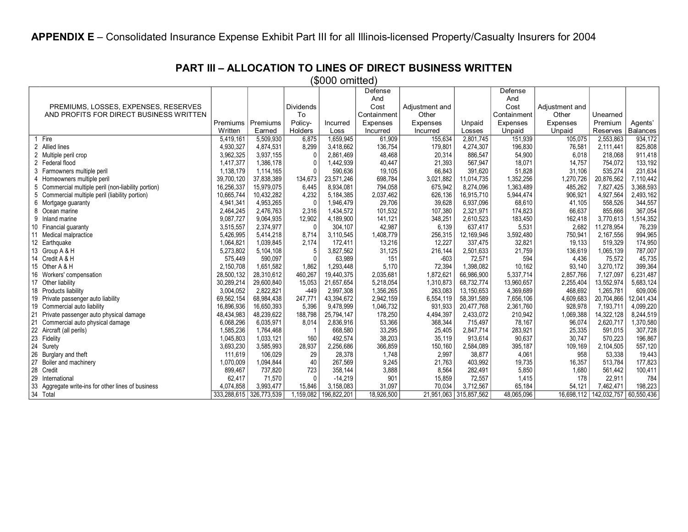**PART III – ALLOCATION TO LINES OF DIRECT BUSINESS WRITTEN**

(\$000 omitted)

|                                                        |             |             |              |             | Defense     |                |                        | Defense     |                |                        |                 |
|--------------------------------------------------------|-------------|-------------|--------------|-------------|-------------|----------------|------------------------|-------------|----------------|------------------------|-----------------|
|                                                        |             |             |              |             | And         |                |                        | And         |                |                        |                 |
| PREMIUMS, LOSSES, EXPENSES, RESERVES                   |             |             | Dividends    |             | Cost        | Adjustment and |                        | Cost        | Adjustment and |                        |                 |
| AND PROFITS FOR DIRECT BUSINESS WRITTEN                |             |             | To           |             | Containment | Other          |                        | Containment | Other          | Unearned               |                 |
|                                                        | Premiums    | Premiums    | Policy-      | Incurred    | Expenses    | Expenses       | Unpaid                 | Expenses    | Expenses       | Premium                | Agents'         |
|                                                        | Written     | Earned      | Holders      | Loss        | Incurred    | Incurred       | Losses                 | Unpaid      | Unpaid         | Reserves               | <b>Balances</b> |
| Fire                                                   | 5,419,161   | 5,509,930   | 6.875        | 1.659.945   | 61,909      | 155,634        | 2.801.745              | 151,939     | 105,075        | 2,553,863              | 934,172         |
| 2 Allied lines                                         | 4,930,327   | 4,874,531   | 8,299        | 3.418.662   | 136,754     | 179,801        | 4,274,307              | 196,830     | 76,581         | 2.111.441              | 825,808         |
| 2 Multiple peril crop                                  | 3,962,325   | 3,937,155   | 0            | 2.861.469   | 48,468      | 20,314         | 886.547                | 54,900      | 6,018          | 218.068                | 911.418         |
| 2 Federal flood                                        | 1,417,377   | 1,386,178   | 0            | 1,442,939   | 40,447      | 21,393         | 567,947                | 18,071      | 14,757         | 754,072                | 133,192         |
| 3<br>Farmowners multiple peril                         | 1,138,179   | 1,114,165   | $\Omega$     | 590.636     | 19,105      | 66,843         | 391.620                | 51,828      | 31,106         | 535,274                | 231,634         |
| Homeowners multiple peril<br>4                         | 39,700,120  | 37,838,389  | 134,673      | 23,571,246  | 698,784     | 3,021,882      | 11,014,735             | 1,352,256   | 1,270,726      | 20,876,562             | 7,110,442       |
| 5<br>Commercial multiple peril (non-liability portion) | 16,256,337  | 15,979,075  | 6.445        | 8,934,081   | 794,058     | 675,942        | 8,274,096              | 1,363,489   | 485,262        | 7,827,425              | 3,368,593       |
| 5<br>Commercial multiple peril (liability portion)     | 10,665,744  | 10,432,282  | 4,232        | 5,184,385   | 2,037,462   | 626,136        | 16,915,710             | 5,944,474   | 906,921        | 4,927,564              | 2,493,162       |
| 6<br>Mortgage guaranty                                 | 4,941,341   | 4,953,265   | $\mathbf{0}$ | 1.946.479   | 29,706      | 39,628         | 6,937,096              | 68,610      | 41,105         | 558,526                | 344,557         |
| 8 Ocean marine                                         | 2,464,245   | 2,476,763   | 2,316        | 1,434,572   | 101,532     | 107,380        | 2,321,971              | 174,823     | 66,637         | 855,666                | 367,054         |
| 9 Inland marine                                        | 9,087,727   | 9.064,935   | 12,902       | 4,189,900   | 141,121     | 348,251        | 2,610,523              | 183,450     | 162,418        | 3,770,613              | 1,514,352       |
| 10 Financial guaranty                                  | 3,515,557   | 2,374,977   | 0            | 304,107     | 42,987      | 6,139          | 637,417                | 5,531       | 2,682          | 11,278,954             | 76,239          |
| 11<br>Medical malpractice                              | 5,426,995   | 5,414,218   | 8.714        | 3,110,545   | 1,408,779   | 256,315        | 12,169,946             | 3,592,480   | 750,941        | 2,167,556              | 994,965         |
| 12 Earthquake                                          | 1,064,821   | 1,039,845   | 2,174        | 172,411     | 13,216      | 12,227         | 337,475                | 32,821      | 19,133         | 519,329                | 174,950         |
| 13 Group A & H                                         | 5,273,802   | 5,104,108   | 5            | 3,827,562   | 31,125      | 216,144        | 2,501,633              | 21,759      | 136,619        | 1,065,139              | 787,007         |
| 14 Credit A & H                                        | 575,449     | 590,097     | $\Omega$     | 63,989      | 151         | $-603$         | 72,571                 | 594         | 4,436          | 75,572                 | 45,735          |
| 15 Other A & H                                         | 2,150,708   | 1,651,582   | 1,862        | 1,293,448   | 5,170       | 72,394         | 1,398,082              | 10,162      | 93,140         | 3,270,172              | 399,364         |
| 16 Workers' compensation                               | 28,500,132  | 28,310,612  | 460,267      | 19,440,375  | 2,035,681   | 1,872,621      | 66,986,900             | 5,337,714   | 2,857,766      | 7,127,097              | 6,231,487       |
| 17 Other liability                                     | 30,289,214  | 29,600,840  | 15,053       | 21,657,654  | 5,218,054   | 1,310,873      | 68,732,774             | 13,960,657  | 2,255,404      | 13,552,974             | 5,683,124       |
| 18 Products liability                                  | 3,004,052   | 2,822,821   | $-449$       | 2,997,308   | 1,356,265   | 263,083        | 13,150,653             | 4,369,689   | 468,692        | 1,265,781              | 609,006         |
| 19 Private passenger auto liability                    | 69,562,154  | 68.984.438  | 247,771      | 43,394,672  | 2,942,159   | 6,554,119      | 58,391,589             | 7,656,106   | 4,609,683      | 20,704,866             | 12,041,434      |
| 19 Commercial auto liability                           | 16,896,936  | 16,650,393  | 5,396        | 9,478,999   | 1,046,732   | 931,933        | 20,477,768             | 2,361,760   | 928,978        | 7,193,711              | 4,099,220       |
| 21<br>Private passenger auto physical damage           | 48,434,983  | 48,239,622  | 188,798      | 25,794,147  | 178,250     | 4,494,397      | 2,433,072              | 210,942     | 1,069,388      | 14,322,128             | 8,244,519       |
| 21<br>Commercial auto physical damage                  | 6,068,296   | 6.035,971   | 8,014        | 2,836,916   | 53,366      | 368,344        | 715,497                | 78,167      | 96,074         | 2,620,717              | 1,370,580       |
| 22 Aircraft (all perils)                               | 1,585,236   | 1,764,468   |              | 668,580     | 33,295      | 25,405         | 2,847,714              | 283,921     | 25,335         | 591,015                | 307,728         |
| 23 Fidelity                                            | 1,045,803   | 1,033,121   | 160          | 492,574     | 38,203      | 35,119         | 913,614                | 90,637      | 30,747         | 570,223                | 196,867         |
| 24<br>Surety                                           | 3,693,230   | 3,585,993   | 28,937       | 2,256,686   | 366,859     | 150,160        | 2,584,089              | 395,187     | 109,169        | 2,104,505              | 557,120         |
| 26<br>Burglary and theft                               | 111,619     | 106,029     | 29           | 28.378      | 1.748       | 2,997          | 38.877                 | 4.061       | 958            | 53.338                 | 19,443          |
| 27<br>Boiler and machinery                             | 1,070,009   | 1,094,844   | 40           | 267,569     | 9,245       | 21,763         | 403,992                | 19,735      | 16,357         | 513,784                | 177,823         |
| 28 Credit                                              | 899,467     | 737,820     | 723          | 358,144     | 3,888       | 8,564          | 282,491                | 5,850       | 1,680          | 561,442                | 100,411         |
| 29<br>International                                    | 62,417      | 71,570      | 0            | $-14,219$   | 901         | 15,859         | 72,557                 | 1,415       | 178            | 22,911                 | 784             |
| 33<br>Aggregate write-ins for other lines of business  | 4,074,858   | 3,993,477   | 15,846       | 3,158,083   | 31,097      | 70,034         | 3,712,567              | 65,184      | 54,121         | 7,462,471              | 198,223         |
| 34 Total                                               | 333,288,615 | 326,773,539 | 1,159,082    | 196,822,201 | 18,926,500  |                | 21,951,063 315,857,562 | 48,065,096  | 16,698,112     | 142,032,757 60,550,436 |                 |